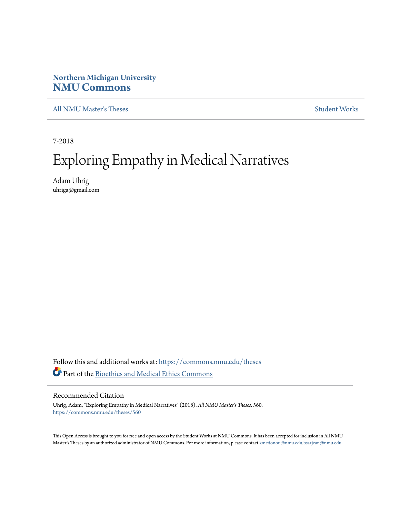## **Northern Michigan University [NMU Commons](https://commons.nmu.edu?utm_source=commons.nmu.edu%2Ftheses%2F560&utm_medium=PDF&utm_campaign=PDFCoverPages)**

[All NMU Master's Theses](https://commons.nmu.edu/theses?utm_source=commons.nmu.edu%2Ftheses%2F560&utm_medium=PDF&utm_campaign=PDFCoverPages) [Student Works](https://commons.nmu.edu/student_works?utm_source=commons.nmu.edu%2Ftheses%2F560&utm_medium=PDF&utm_campaign=PDFCoverPages)

7-2018

# Exploring Empathy in Medical Narratives

Adam Uhrig uhriga@gmail.com

Follow this and additional works at: [https://commons.nmu.edu/theses](https://commons.nmu.edu/theses?utm_source=commons.nmu.edu%2Ftheses%2F560&utm_medium=PDF&utm_campaign=PDFCoverPages) Part of the [Bioethics and Medical Ethics Commons](http://network.bepress.com/hgg/discipline/650?utm_source=commons.nmu.edu%2Ftheses%2F560&utm_medium=PDF&utm_campaign=PDFCoverPages)

### Recommended Citation

Uhrig, Adam, "Exploring Empathy in Medical Narratives" (2018). *All NMU Master's Theses*. 560. [https://commons.nmu.edu/theses/560](https://commons.nmu.edu/theses/560?utm_source=commons.nmu.edu%2Ftheses%2F560&utm_medium=PDF&utm_campaign=PDFCoverPages)

This Open Access is brought to you for free and open access by the Student Works at NMU Commons. It has been accepted for inclusion in All NMU Master's Theses by an authorized administrator of NMU Commons. For more information, please contact [kmcdonou@nmu.edu,bsarjean@nmu.edu.](mailto:kmcdonou@nmu.edu,bsarjean@nmu.edu)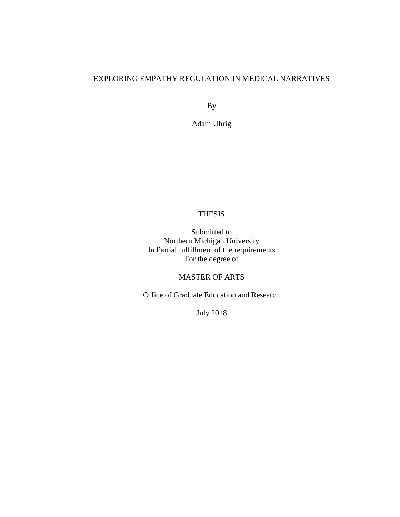### EXPLORING EMPATHY REGULATION IN MEDICAL NARRATIVES

By

Adam Uhrig

### THESIS

Submitted to Northern Michigan University In Partial fulfillment of the requirements For the degree of

### MASTER OF ARTS

Office of Graduate Education and Research

July 2018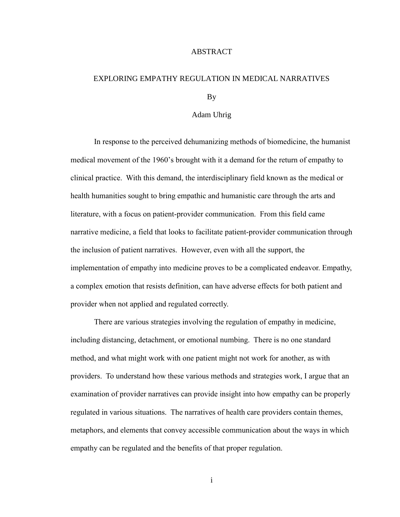### ABSTRACT

# EXPLORING EMPATHY REGULATION IN MEDICAL NARRATIVES

By

### Adam Uhrig

In response to the perceived dehumanizing methods of biomedicine, the humanist medical movement of the 1960's brought with it a demand for the return of empathy to clinical practice. With this demand, the interdisciplinary field known as the medical or health humanities sought to bring empathic and humanistic care through the arts and literature, with a focus on patient-provider communication. From this field came narrative medicine, a field that looks to facilitate patient-provider communication through the inclusion of patient narratives. However, even with all the support, the implementation of empathy into medicine proves to be a complicated endeavor. Empathy, a complex emotion that resists definition, can have adverse effects for both patient and provider when not applied and regulated correctly.

There are various strategies involving the regulation of empathy in medicine, including distancing, detachment, or emotional numbing. There is no one standard method, and what might work with one patient might not work for another, as with providers. To understand how these various methods and strategies work, I argue that an examination of provider narratives can provide insight into how empathy can be properly regulated in various situations. The narratives of health care providers contain themes, metaphors, and elements that convey accessible communication about the ways in which empathy can be regulated and the benefits of that proper regulation.

i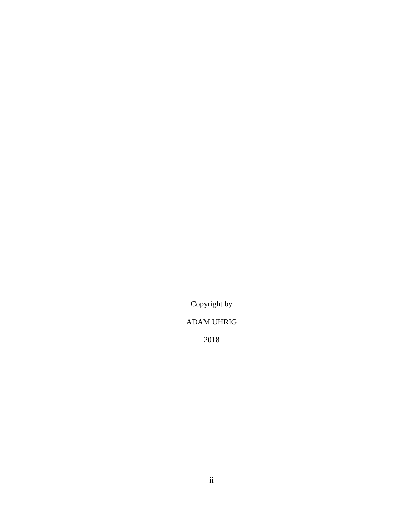Copyright by

# ADAM UHRIG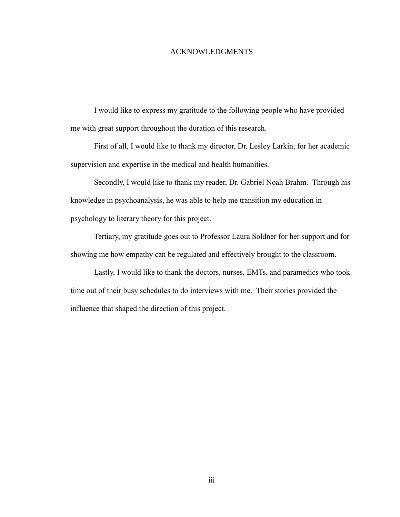### ACKNOWLEDGMENTS

I would like to express my gratitude to the following people who have provided me with great support throughout the duration of this research.

First of all, I would like to thank my director, Dr. Lesley Larkin, for her academic supervision and expertise in the medical and health humanities.

Secondly, I would like to thank my reader, Dr. Gabriel Noah Brahm. Through his knowledge in psychoanalysis, he was able to help me transition my education in psychology to literary theory for this project.

Tertiary, my gratitude goes out to Professor Laura Soldner for her support and for showing me how empathy can be regulated and effectively brought to the classroom.

Lastly, I would like to thank the doctors, nurses, EMTs, and paramedics who took time out of their busy schedules to do interviews with me. Their stories provided the influence that shaped the direction of this project.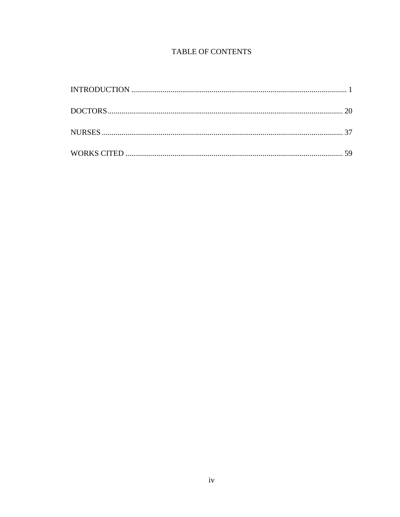### TABLE OF CONTENTS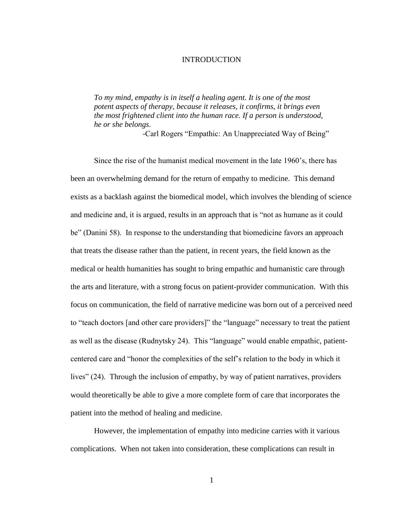### INTRODUCTION

<span id="page-6-0"></span>*To my mind, empathy is in itself a healing agent. It is one of the most potent aspects of therapy, because it releases, it confirms, it brings even the most frightened client into the human race. If a person is understood, he or she belongs*.

-Carl Rogers "Empathic: An Unappreciated Way of Being"

Since the rise of the humanist medical movement in the late 1960's, there has been an overwhelming demand for the return of empathy to medicine. This demand exists as a backlash against the biomedical model, which involves the blending of science and medicine and, it is argued, results in an approach that is "not as humane as it could be" (Danini 58). In response to the understanding that biomedicine favors an approach that treats the disease rather than the patient, in recent years, the field known as the medical or health humanities has sought to bring empathic and humanistic care through the arts and literature, with a strong focus on patient-provider communication. With this focus on communication, the field of narrative medicine was born out of a perceived need to "teach doctors [and other care providers]" the "language" necessary to treat the patient as well as the disease (Rudnytsky 24). This "language" would enable empathic, patientcentered care and "honor the complexities of the self's relation to the body in which it lives" (24). Through the inclusion of empathy, by way of patient narratives, providers would theoretically be able to give a more complete form of care that incorporates the patient into the method of healing and medicine.

However, the implementation of empathy into medicine carries with it various complications. When not taken into consideration, these complications can result in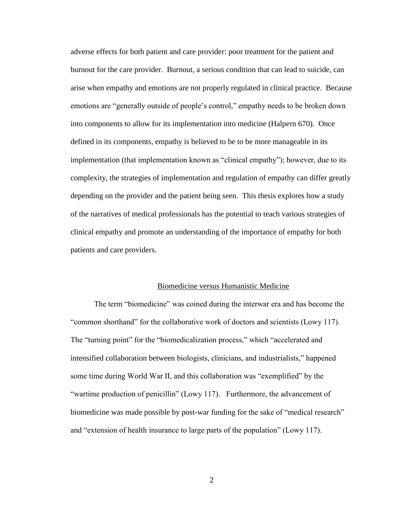adverse effects for both patient and care provider: poor treatment for the patient and burnout for the care provider. Burnout, a serious condition that can lead to suicide, can arise when empathy and emotions are not properly regulated in clinical practice. Because emotions are "generally outside of people's control," empathy needs to be broken down into components to allow for its implementation into medicine (Halpern 670). Once defined in its components, empathy is believed to be to be more manageable in its implementation (that implementation known as "clinical empathy"); however, due to its complexity, the strategies of implementation and regulation of empathy can differ greatly depending on the provider and the patient being seen. This thesis explores how a study of the narratives of medical professionals has the potential to teach various strategies of clinical empathy and promote an understanding of the importance of empathy for both patients and care providers.

#### Biomedicine versus Humanistic Medicine

The term "biomedicine" was coined during the interwar era and has become the "common shorthand" for the collaborative work of doctors and scientists (Lowy 117). The "turning point" for the "biomedicalization process," which "accelerated and intensified collaboration between biologists, clinicians, and industrialists," happened some time during World War II, and this collaboration was "exemplified" by the "wartime production of penicillin" (Lowy 117). Furthermore, the advancement of biomedicine was made possible by post-war funding for the sake of "medical research" and "extension of health insurance to large parts of the population" (Lowy 117).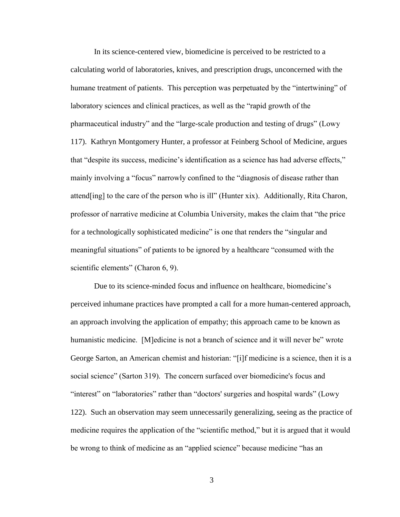In its science-centered view, biomedicine is perceived to be restricted to a calculating world of laboratories, knives, and prescription drugs, unconcerned with the humane treatment of patients. This perception was perpetuated by the "intertwining" of laboratory sciences and clinical practices, as well as the "rapid growth of the pharmaceutical industry" and the "large-scale production and testing of drugs" (Lowy 117). Kathryn Montgomery Hunter, a professor at Feinberg School of Medicine, argues that "despite its success, medicine's identification as a science has had adverse effects," mainly involving a "focus" narrowly confined to the "diagnosis of disease rather than attend[ing] to the care of the person who is ill" (Hunter xix). Additionally, Rita Charon, professor of narrative medicine at Columbia University, makes the claim that "the price for a technologically sophisticated medicine" is one that renders the "singular and meaningful situations" of patients to be ignored by a healthcare "consumed with the scientific elements" (Charon 6, 9).

Due to its science-minded focus and influence on healthcare, biomedicine's perceived inhumane practices have prompted a call for a more human-centered approach, an approach involving the application of empathy; this approach came to be known as humanistic medicine. [M]edicine is not a branch of science and it will never be" wrote George Sarton, an American chemist and historian: "[i]f medicine is a science, then it is a social science" (Sarton 319). The concern surfaced over biomedicine's focus and "interest" on "laboratories" rather than "doctors' surgeries and hospital wards" (Lowy 122). Such an observation may seem unnecessarily generalizing, seeing as the practice of medicine requires the application of the "scientific method," but it is argued that it would be wrong to think of medicine as an "applied science" because medicine "has an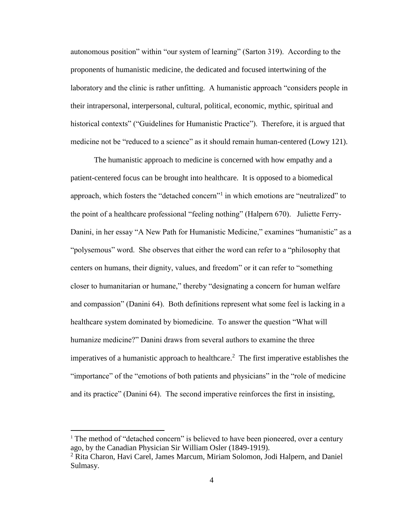autonomous position" within "our system of learning" (Sarton 319). According to the proponents of humanistic medicine, the dedicated and focused intertwining of the laboratory and the clinic is rather unfitting. A humanistic approach "considers people in their intrapersonal, interpersonal, cultural, political, economic, mythic, spiritual and historical contexts" ("Guidelines for Humanistic Practice"). Therefore, it is argued that medicine not be "reduced to a science" as it should remain human-centered (Lowy 121).

The humanistic approach to medicine is concerned with how empathy and a patient-centered focus can be brought into healthcare. It is opposed to a biomedical approach, which fosters the "detached concern"<sup>1</sup> in which emotions are "neutralized" to the point of a healthcare professional "feeling nothing" (Halpern 670). Juliette Ferry-Danini, in her essay "A New Path for Humanistic Medicine," examines "humanistic" as a "polysemous" word. She observes that either the word can refer to a "philosophy that centers on humans, their dignity, values, and freedom" or it can refer to "something closer to humanitarian or humane," thereby "designating a concern for human welfare and compassion" (Danini 64). Both definitions represent what some feel is lacking in a healthcare system dominated by biomedicine. To answer the question "What will humanize medicine?" Danini draws from several authors to examine the three imperatives of a humanistic approach to healthcare.<sup>2</sup> The first imperative establishes the "importance" of the "emotions of both patients and physicians" in the "role of medicine and its practice" (Danini 64). The second imperative reinforces the first in insisting,

 $1$ . The method of "detached concern" is believed to have been pioneered, over a century ago, by the Canadian Physician Sir William Osler (1849-1919).

<sup>&</sup>lt;sup>2</sup> Rita Charon, Havi Carel, James Marcum, Miriam Solomon, Jodi Halpern, and Daniel Sulmasy.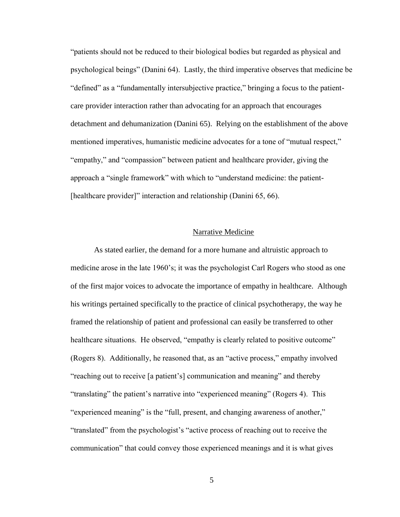"patients should not be reduced to their biological bodies but regarded as physical and psychological beings" (Danini 64). Lastly, the third imperative observes that medicine be "defined" as a "fundamentally intersubjective practice," bringing a focus to the patientcare provider interaction rather than advocating for an approach that encourages detachment and dehumanization (Danini 65). Relying on the establishment of the above mentioned imperatives, humanistic medicine advocates for a tone of "mutual respect," "empathy," and "compassion" between patient and healthcare provider, giving the approach a "single framework" with which to "understand medicine: the patient- [healthcare provider]" interaction and relationship (Danini 65, 66).

### Narrative Medicine

As stated earlier, the demand for a more humane and altruistic approach to medicine arose in the late 1960's; it was the psychologist Carl Rogers who stood as one of the first major voices to advocate the importance of empathy in healthcare. Although his writings pertained specifically to the practice of clinical psychotherapy, the way he framed the relationship of patient and professional can easily be transferred to other healthcare situations. He observed, "empathy is clearly related to positive outcome" (Rogers 8). Additionally, he reasoned that, as an "active process," empathy involved "reaching out to receive [a patient's] communication and meaning" and thereby "translating" the patient's narrative into "experienced meaning" (Rogers 4). This "experienced meaning" is the "full, present, and changing awareness of another," "translated" from the psychologist's "active process of reaching out to receive the communication" that could convey those experienced meanings and it is what gives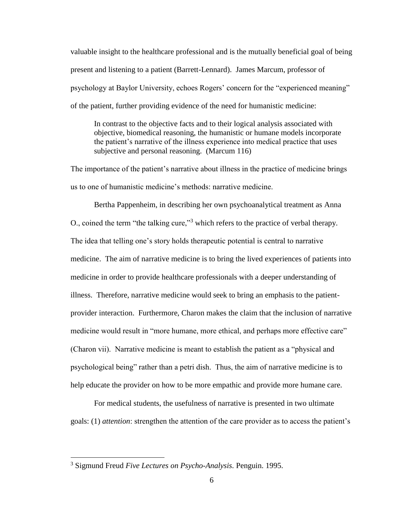valuable insight to the healthcare professional and is the mutually beneficial goal of being present and listening to a patient (Barrett-Lennard). James Marcum, professor of psychology at Baylor University, echoes Rogers' concern for the "experienced meaning" of the patient, further providing evidence of the need for humanistic medicine:

In contrast to the objective facts and to their logical analysis associated with objective, biomedical reasoning, the humanistic or humane models incorporate the patient's narrative of the illness experience into medical practice that uses subjective and personal reasoning. (Marcum 116)

The importance of the patient's narrative about illness in the practice of medicine brings us to one of humanistic medicine's methods: narrative medicine.

Bertha Pappenheim, in describing her own psychoanalytical treatment as Anna O., coined the term "the talking cure,"<sup>3</sup> which refers to the practice of verbal therapy. The idea that telling one's story holds therapeutic potential is central to narrative medicine. The aim of narrative medicine is to bring the lived experiences of patients into medicine in order to provide healthcare professionals with a deeper understanding of illness. Therefore, narrative medicine would seek to bring an emphasis to the patientprovider interaction. Furthermore, Charon makes the claim that the inclusion of narrative medicine would result in "more humane, more ethical, and perhaps more effective care" (Charon vii). Narrative medicine is meant to establish the patient as a "physical and psychological being" rather than a petri dish. Thus, the aim of narrative medicine is to help educate the provider on how to be more empathic and provide more humane care.

For medical students, the usefulness of narrative is presented in two ultimate goals: (1) *attention*: strengthen the attention of the care provider as to access the patient's

<sup>3</sup> Sigmund Freud *Five Lectures on Psycho-Analysis.* Penguin. 1995.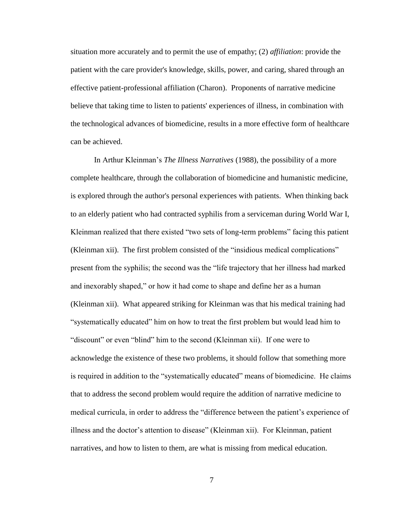situation more accurately and to permit the use of empathy; (2) *affiliation*: provide the patient with the care provider's knowledge, skills, power, and caring, shared through an effective patient-professional affiliation (Charon). Proponents of narrative medicine believe that taking time to listen to patients' experiences of illness, in combination with the technological advances of biomedicine, results in a more effective form of healthcare can be achieved.

In Arthur Kleinman's *The Illness Narratives* (1988), the possibility of a more complete healthcare, through the collaboration of biomedicine and humanistic medicine, is explored through the author's personal experiences with patients. When thinking back to an elderly patient who had contracted syphilis from a serviceman during World War I, Kleinman realized that there existed "two sets of long-term problems" facing this patient (Kleinman xii). The first problem consisted of the "insidious medical complications" present from the syphilis; the second was the "life trajectory that her illness had marked and inexorably shaped," or how it had come to shape and define her as a human (Kleinman xii). What appeared striking for Kleinman was that his medical training had "systematically educated" him on how to treat the first problem but would lead him to "discount" or even "blind" him to the second (Kleinman xii). If one were to acknowledge the existence of these two problems, it should follow that something more is required in addition to the "systematically educated" means of biomedicine. He claims that to address the second problem would require the addition of narrative medicine to medical curricula, in order to address the "difference between the patient's experience of illness and the doctor's attention to disease" (Kleinman xii). For Kleinman, patient narratives, and how to listen to them, are what is missing from medical education.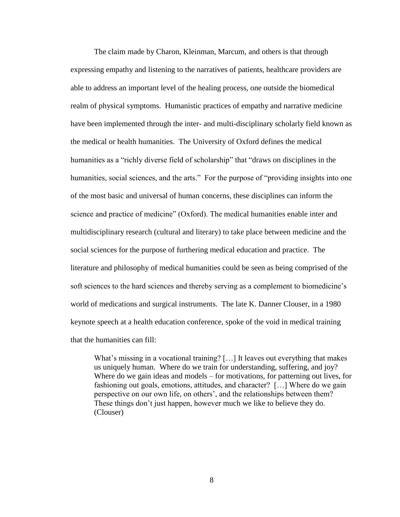The claim made by Charon, Kleinman, Marcum, and others is that through expressing empathy and listening to the narratives of patients, healthcare providers are able to address an important level of the healing process, one outside the biomedical realm of physical symptoms. Humanistic practices of empathy and narrative medicine have been implemented through the inter- and multi-disciplinary scholarly field known as the medical or health humanities. The University of Oxford defines the medical humanities as a "richly diverse field of scholarship" that "draws on disciplines in the humanities, social sciences, and the arts." For the purpose of "providing insights into one of the most basic and universal of human concerns, these disciplines can inform the science and practice of medicine" (Oxford). The medical humanities enable inter and multidisciplinary research (cultural and literary) to take place between medicine and the social sciences for the purpose of furthering medical education and practice. The literature and philosophy of medical humanities could be seen as being comprised of the soft sciences to the hard sciences and thereby serving as a complement to biomedicine's world of medications and surgical instruments. The late K. Danner Clouser, in a 1980 keynote speech at a health education conference, spoke of the void in medical training that the humanities can fill:

What's missing in a vocational training? [...] It leaves out everything that makes us uniquely human. Where do we train for understanding, suffering, and joy? Where do we gain ideas and models – for motivations, for patterning out lives, for fashioning out goals, emotions, attitudes, and character? […] Where do we gain perspective on our own life, on others', and the relationships between them? These things don't just happen, however much we like to believe they do. (Clouser)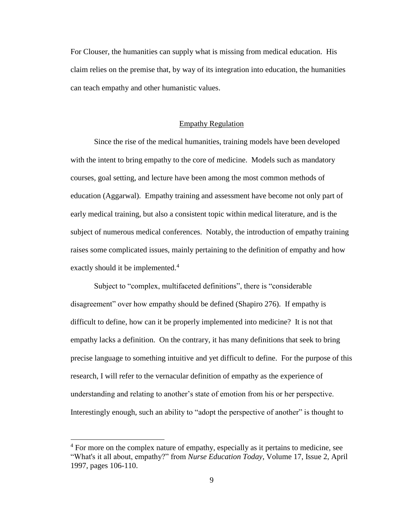For Clouser, the humanities can supply what is missing from medical education. His claim relies on the premise that, by way of its integration into education, the humanities can teach empathy and other humanistic values.

#### Empathy Regulation

Since the rise of the medical humanities, training models have been developed with the intent to bring empathy to the core of medicine. Models such as mandatory courses, goal setting, and lecture have been among the most common methods of education (Aggarwal). Empathy training and assessment have become not only part of early medical training, but also a consistent topic within medical literature, and is the subject of numerous medical conferences. Notably, the introduction of empathy training raises some complicated issues, mainly pertaining to the definition of empathy and how exactly should it be implemented.<sup>4</sup>

Subject to "complex, multifaceted definitions", there is "considerable disagreement" over how empathy should be defined (Shapiro 276). If empathy is difficult to define, how can it be properly implemented into medicine? It is not that empathy lacks a definition. On the contrary, it has many definitions that seek to bring precise language to something intuitive and yet difficult to define. For the purpose of this research, I will refer to the vernacular definition of empathy as the experience of understanding and relating to another's state of emotion from his or her perspective. Interestingly enough, such an ability to "adopt the perspective of another" is thought to

 $4$  For more on the complex nature of empathy, especially as it pertains to medicine, see "What's it all about, empathy?" from *Nurse Education Today*, Volume 17, Issue 2, April 1997, pages 106-110.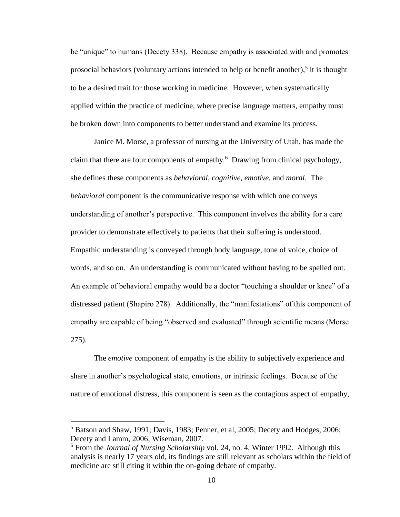be "unique" to humans (Decety 338). Because empathy is associated with and promotes prosocial behaviors (voluntary actions intended to help or benefit another), $5$  it is thought to be a desired trait for those working in medicine. However, when systematically applied within the practice of medicine, where precise language matters, empathy must be broken down into components to better understand and examine its process.

Janice M. Morse, a professor of nursing at the University of Utah, has made the claim that there are four components of empathy.<sup>6</sup> Drawing from clinical psychology, she defines these components as *behavioral*, *cognitive*, *emotive*, and *moral*. The *behavioral* component is the communicative response with which one conveys understanding of another's perspective. This component involves the ability for a care provider to demonstrate effectively to patients that their suffering is understood. Empathic understanding is conveyed through body language, tone of voice, choice of words, and so on. An understanding is communicated without having to be spelled out. An example of behavioral empathy would be a doctor "touching a shoulder or knee" of a distressed patient (Shapiro 278). Additionally, the "manifestations" of this component of empathy are capable of being "observed and evaluated" through scientific means (Morse 275).

The *emotive* component of empathy is the ability to subjectively experience and share in another's psychological state, emotions, or intrinsic feelings. Because of the nature of emotional distress, this component is seen as the contagious aspect of empathy,

<sup>&</sup>lt;sup>5</sup> Batson and Shaw, 1991; Davis, 1983; Penner, et al, 2005; Decety and Hodges, 2006; Decety and Lamm, 2006; Wiseman, 2007.

<sup>6</sup> From the *Journal of Nursing Scholarship* vol. 24, no. 4, Winter 1992. Although this analysis is nearly 17 years old, its findings are still relevant as scholars within the field of medicine are still citing it within the on-going debate of empathy.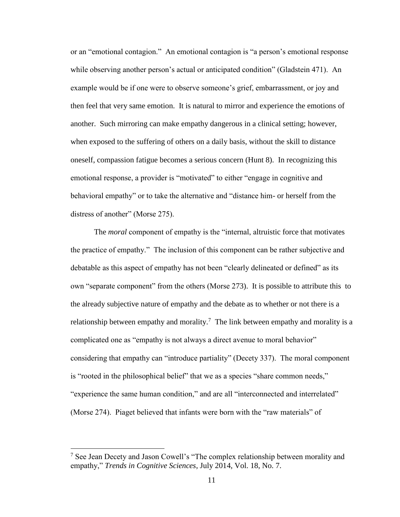or an "emotional contagion." An emotional contagion is "a person's emotional response while observing another person's actual or anticipated condition" (Gladstein 471). An example would be if one were to observe someone's grief, embarrassment, or joy and then feel that very same emotion. It is natural to mirror and experience the emotions of another. Such mirroring can make empathy dangerous in a clinical setting; however, when exposed to the suffering of others on a daily basis, without the skill to distance oneself, compassion fatigue becomes a serious concern (Hunt 8). In recognizing this emotional response, a provider is "motivated" to either "engage in cognitive and behavioral empathy" or to take the alternative and "distance him- or herself from the distress of another" (Morse 275).

The *moral* component of empathy is the "internal, altruistic force that motivates the practice of empathy." The inclusion of this component can be rather subjective and debatable as this aspect of empathy has not been "clearly delineated or defined" as its own "separate component" from the others (Morse 273). It is possible to attribute this to the already subjective nature of empathy and the debate as to whether or not there is a relationship between empathy and morality.<sup>7</sup> The link between empathy and morality is a complicated one as "empathy is not always a direct avenue to moral behavior" considering that empathy can "introduce partiality" (Decety 337). The moral component is "rooted in the philosophical belief" that we as a species "share common needs," "experience the same human condition," and are all "interconnected and interrelated" (Morse 274). Piaget believed that infants were born with the "raw materials" of

 $7$  See Jean Decety and Jason Cowell's "The complex relationship between morality and empathy," *Trends in Cognitive Sciences*, July 2014, Vol. 18, No. 7.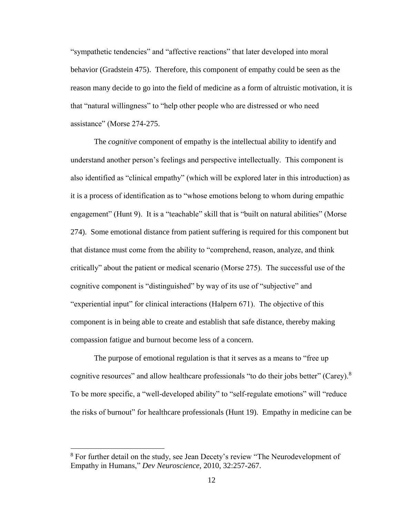"sympathetic tendencies" and "affective reactions" that later developed into moral behavior (Gradstein 475). Therefore, this component of empathy could be seen as the reason many decide to go into the field of medicine as a form of altruistic motivation, it is that "natural willingness" to "help other people who are distressed or who need assistance" (Morse 274-275.

The *cognitive* component of empathy is the intellectual ability to identify and understand another person's feelings and perspective intellectually. This component is also identified as "clinical empathy" (which will be explored later in this introduction) as it is a process of identification as to "whose emotions belong to whom during empathic engagement" (Hunt 9). It is a "teachable" skill that is "built on natural abilities" (Morse 274). Some emotional distance from patient suffering is required for this component but that distance must come from the ability to "comprehend, reason, analyze, and think critically" about the patient or medical scenario (Morse 275). The successful use of the cognitive component is "distinguished" by way of its use of "subjective" and "experiential input" for clinical interactions (Halpern 671). The objective of this component is in being able to create and establish that safe distance, thereby making compassion fatigue and burnout become less of a concern.

The purpose of emotional regulation is that it serves as a means to "free up cognitive resources" and allow healthcare professionals "to do their jobs better" (Carey). $8$ To be more specific, a "well-developed ability" to "self-regulate emotions" will "reduce the risks of burnout" for healthcare professionals (Hunt 19). Empathy in medicine can be

<sup>&</sup>lt;sup>8</sup> For further detail on the study, see Jean Decety's review "The Neurodevelopment of Empathy in Humans," *Dev Neuroscience*, 2010, 32:257-267.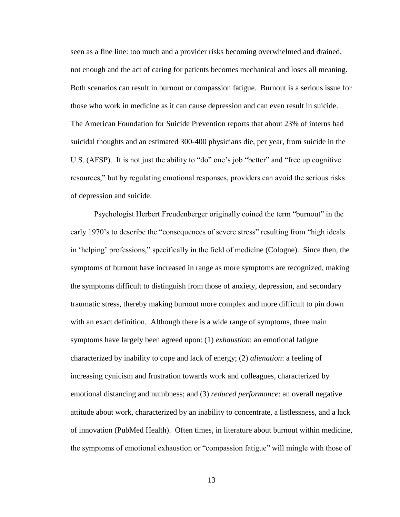seen as a fine line: too much and a provider risks becoming overwhelmed and drained, not enough and the act of caring for patients becomes mechanical and loses all meaning. Both scenarios can result in burnout or compassion fatigue. Burnout is a serious issue for those who work in medicine as it can cause depression and can even result in suicide. The American Foundation for Suicide Prevention reports that about 23% of interns had suicidal thoughts and an estimated 300-400 physicians die, per year, from suicide in the U.S. (AFSP). It is not just the ability to "do" one's job "better" and "free up cognitive resources," but by regulating emotional responses, providers can avoid the serious risks of depression and suicide.

Psychologist Herbert Freudenberger originally coined the term "burnout" in the early 1970's to describe the "consequences of severe stress" resulting from "high ideals in 'helping' professions," specifically in the field of medicine (Cologne). Since then, the symptoms of burnout have increased in range as more symptoms are recognized, making the symptoms difficult to distinguish from those of anxiety, depression, and secondary traumatic stress, thereby making burnout more complex and more difficult to pin down with an exact definition. Although there is a wide range of symptoms, three main symptoms have largely been agreed upon: (1) *exhaustion*: an emotional fatigue characterized by inability to cope and lack of energy; (2) *alienation*: a feeling of increasing cynicism and frustration towards work and colleagues, characterized by emotional distancing and numbness; and (3) *reduced performance*: an overall negative attitude about work, characterized by an inability to concentrate, a listlessness, and a lack of innovation (PubMed Health). Often times, in literature about burnout within medicine, the symptoms of emotional exhaustion or "compassion fatigue" will mingle with those of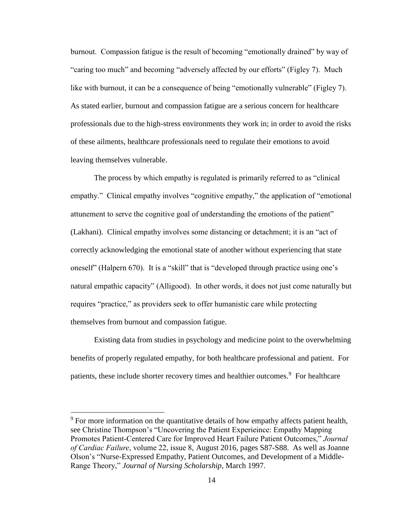burnout. Compassion fatigue is the result of becoming "emotionally drained" by way of "caring too much" and becoming "adversely affected by our efforts" (Figley 7). Much like with burnout, it can be a consequence of being "emotionally vulnerable" (Figley 7). As stated earlier, burnout and compassion fatigue are a serious concern for healthcare professionals due to the high-stress environments they work in; in order to avoid the risks of these ailments, healthcare professionals need to regulate their emotions to avoid leaving themselves vulnerable.

The process by which empathy is regulated is primarily referred to as "clinical empathy." Clinical empathy involves "cognitive empathy," the application of "emotional attunement to serve the cognitive goal of understanding the emotions of the patient" (Lakhani). Clinical empathy involves some distancing or detachment; it is an "act of correctly acknowledging the emotional state of another without experiencing that state oneself" (Halpern 670). It is a "skill" that is "developed through practice using one's natural empathic capacity" (Alligood). In other words, it does not just come naturally but requires "practice," as providers seek to offer humanistic care while protecting themselves from burnout and compassion fatigue.

Existing data from studies in psychology and medicine point to the overwhelming benefits of properly regulated empathy, for both healthcare professional and patient. For patients, these include shorter recovery times and healthier outcomes.<sup>9</sup> For healthcare

<sup>&</sup>lt;sup>9</sup> For more information on the quantitative details of how empathy affects patient health, see Christine Thompson's "Uncovering the Patient Experieince: Empathy Mapping Promotes Patient-Centered Care for Improved Heart Failure Patient Outcomes," *Journal of Cardiac Failure*, volume 22, issue 8, August 2016, pages S87-S88. As well as Joanne Olson's "Nurse-Expressed Empathy, Patient Outcomes, and Development of a Middle-Range Theory," *Journal of Nursing Scholarship*, March 1997.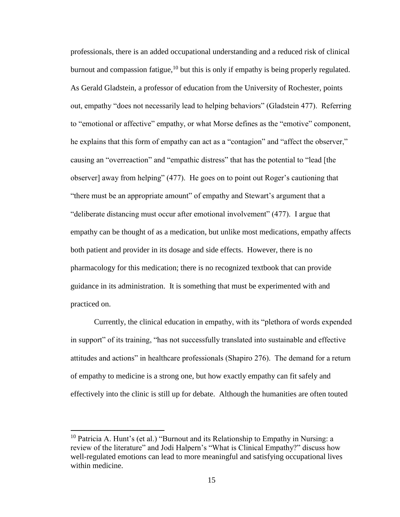professionals, there is an added occupational understanding and a reduced risk of clinical burnout and compassion fatigue,<sup>10</sup> but this is only if empathy is being properly regulated. As Gerald Gladstein, a professor of education from the University of Rochester, points out, empathy "does not necessarily lead to helping behaviors" (Gladstein 477). Referring to "emotional or affective" empathy, or what Morse defines as the "emotive" component, he explains that this form of empathy can act as a "contagion" and "affect the observer," causing an "overreaction" and "empathic distress" that has the potential to "lead [the observer] away from helping" (477). He goes on to point out Roger's cautioning that "there must be an appropriate amount" of empathy and Stewart's argument that a "deliberate distancing must occur after emotional involvement" (477). I argue that empathy can be thought of as a medication, but unlike most medications, empathy affects both patient and provider in its dosage and side effects. However, there is no pharmacology for this medication; there is no recognized textbook that can provide guidance in its administration. It is something that must be experimented with and practiced on.

Currently, the clinical education in empathy, with its "plethora of words expended in support" of its training, "has not successfully translated into sustainable and effective attitudes and actions" in healthcare professionals (Shapiro 276). The demand for a return of empathy to medicine is a strong one, but how exactly empathy can fit safely and effectively into the clinic is still up for debate. Although the humanities are often touted

 $10$  Patricia A. Hunt's (et al.) "Burnout and its Relationship to Empathy in Nursing: a review of the literature" and Jodi Halpern's "What is Clinical Empathy?" discuss how well-regulated emotions can lead to more meaningful and satisfying occupational lives within medicine.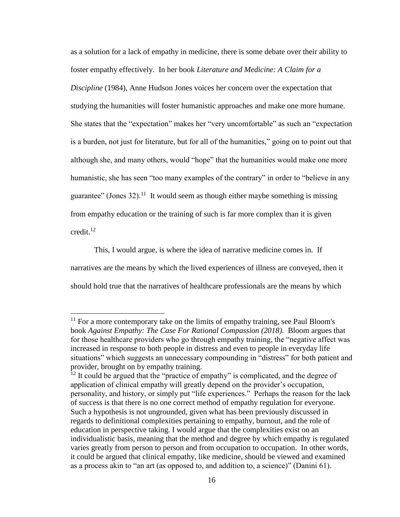as a solution for a lack of empathy in medicine, there is some debate over their ability to foster empathy effectively. In her book *Literature and Medicine: A Claim for a Discipline* (1984), Anne Hudson Jones voices her concern over the expectation that studying the humanities will foster humanistic approaches and make one more humane. She states that the "expectation" makes her "very uncomfortable" as such an "expectation is a burden, not just for literature, but for all of the humanities," going on to point out that although she, and many others, would "hope" that the humanities would make one more humanistic, she has seen "too many examples of the contrary" in order to "believe in any guarantee" (Jones 32).<sup>11</sup> It would seem as though either maybe something is missing from empathy education or the training of such is far more complex than it is given credit.<sup>12</sup>

This, I would argue, is where the idea of narrative medicine comes in. If narratives are the means by which the lived experiences of illness are conveyed, then it should hold true that the narratives of healthcare professionals are the means by which

 $11$  For a more contemporary take on the limits of empathy training, see Paul Bloom's book *Against Empathy: The Case For Rational Compassion (2018).* Bloom argues that for those healthcare providers who go through empathy training, the "negative affect was increased in response to both people in distress and even to people in everyday life situations" which suggests an unnecessary compounding in "distress" for both patient and provider, brought on by empathy training.

<sup>&</sup>lt;sup>12</sup> It could be argued that the "practice of empathy" is complicated, and the degree of application of clinical empathy will greatly depend on the provider's occupation, personality, and history, or simply put "life experiences." Perhaps the reason for the lack of success is that there is no one correct method of empathy regulation for everyone. Such a hypothesis is not ungrounded, given what has been previously discussed in regards to definitional complexities pertaining to empathy, burnout, and the role of education in perspective taking. I would argue that the complexities exist on an individualistic basis, meaning that the method and degree by which empathy is regulated varies greatly from person to person and from occupation to occupation. In other words, it could be argued that clinical empathy, like medicine, should be viewed and examined as a process akin to "an art (as opposed to, and addition to, a science)" (Danini 61).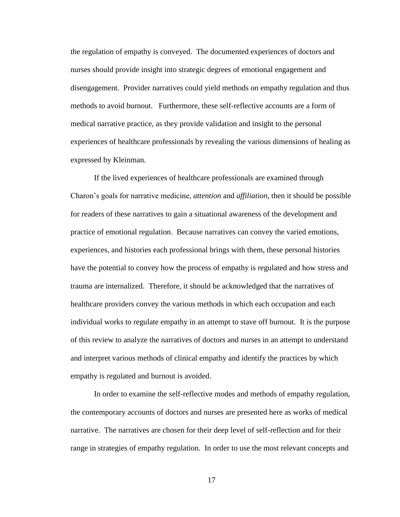the regulation of empathy is conveyed. The documented experiences of doctors and nurses should provide insight into strategic degrees of emotional engagement and disengagement. Provider narratives could yield methods on empathy regulation and thus methods to avoid burnout. Furthermore, these self-reflective accounts are a form of medical narrative practice, as they provide validation and insight to the personal experiences of healthcare professionals by revealing the various dimensions of healing as expressed by Kleinman.

If the lived experiences of healthcare professionals are examined through Charon's goals for narrative medicine, *attention* and *affiliation*, then it should be possible for readers of these narratives to gain a situational awareness of the development and practice of emotional regulation. Because narratives can convey the varied emotions, experiences, and histories each professional brings with them, these personal histories have the potential to convey how the process of empathy is regulated and how stress and trauma are internalized. Therefore, it should be acknowledged that the narratives of healthcare providers convey the various methods in which each occupation and each individual works to regulate empathy in an attempt to stave off burnout. It is the purpose of this review to analyze the narratives of doctors and nurses in an attempt to understand and interpret various methods of clinical empathy and identify the practices by which empathy is regulated and burnout is avoided.

In order to examine the self-reflective modes and methods of empathy regulation, the contemporary accounts of doctors and nurses are presented here as works of medical narrative. The narratives are chosen for their deep level of self-reflection and for their range in strategies of empathy regulation. In order to use the most relevant concepts and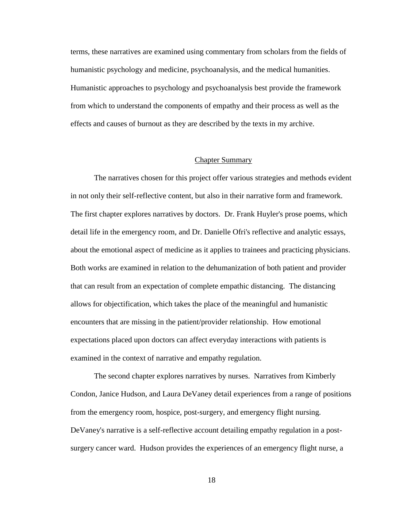terms, these narratives are examined using commentary from scholars from the fields of humanistic psychology and medicine, psychoanalysis, and the medical humanities. Humanistic approaches to psychology and psychoanalysis best provide the framework from which to understand the components of empathy and their process as well as the effects and causes of burnout as they are described by the texts in my archive.

#### Chapter Summary

The narratives chosen for this project offer various strategies and methods evident in not only their self-reflective content, but also in their narrative form and framework. The first chapter explores narratives by doctors. Dr. Frank Huyler's prose poems, which detail life in the emergency room, and Dr. Danielle Ofri's reflective and analytic essays, about the emotional aspect of medicine as it applies to trainees and practicing physicians. Both works are examined in relation to the dehumanization of both patient and provider that can result from an expectation of complete empathic distancing. The distancing allows for objectification, which takes the place of the meaningful and humanistic encounters that are missing in the patient/provider relationship. How emotional expectations placed upon doctors can affect everyday interactions with patients is examined in the context of narrative and empathy regulation.

The second chapter explores narratives by nurses. Narratives from Kimberly Condon, Janice Hudson, and Laura DeVaney detail experiences from a range of positions from the emergency room, hospice, post-surgery, and emergency flight nursing. DeVaney's narrative is a self-reflective account detailing empathy regulation in a postsurgery cancer ward. Hudson provides the experiences of an emergency flight nurse, a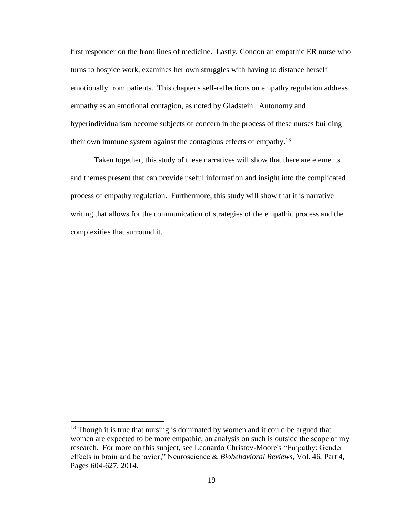first responder on the front lines of medicine. Lastly, Condon an empathic ER nurse who turns to hospice work, examines her own struggles with having to distance herself emotionally from patients. This chapter's self-reflections on empathy regulation address empathy as an emotional contagion, as noted by Gladstein. Autonomy and hyperindividualism become subjects of concern in the process of these nurses building their own immune system against the contagious effects of empathy.<sup>13</sup>

Taken together, this study of these narratives will show that there are elements and themes present that can provide useful information and insight into the complicated process of empathy regulation. Furthermore, this study will show that it is narrative writing that allows for the communication of strategies of the empathic process and the complexities that surround it.

 $13$  Though it is true that nursing is dominated by women and it could be argued that women are expected to be more empathic, an analysis on such is outside the scope of my research. For more on this subject, see Leonardo Christov-Moore's "Empathy: Gender effects in brain and behavior," Neuroscience & *Biobehavioral Reviews*, Vol. 46, Part 4, Pages 604-627, 2014.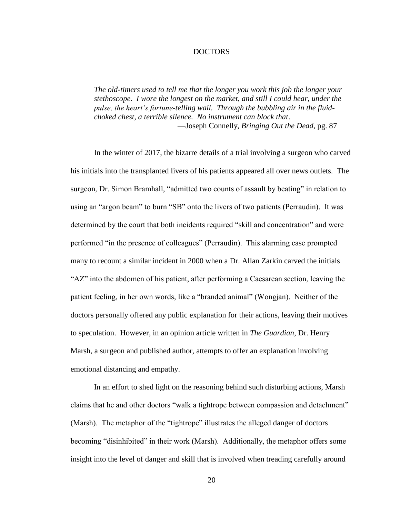### DOCTORS

<span id="page-25-0"></span>*The old-timers used to tell me that the longer you work this job the longer your stethoscope. I wore the longest on the market, and still I could hear, under the pulse, the heart's fortune-telling wail. Through the bubbling air in the fluidchoked chest, a terrible silence. No instrument can block that*. —Joseph Connelly, *Bringing Out the Dead*, pg. 87

In the winter of 2017, the bizarre details of a trial involving a surgeon who carved his initials into the transplanted livers of his patients appeared all over news outlets. The surgeon, Dr. Simon Bramhall, "admitted two counts of assault by beating" in relation to using an "argon beam" to burn "SB" onto the livers of two patients (Perraudin). It was determined by the court that both incidents required "skill and concentration" and were performed "in the presence of colleagues" (Perraudin). This alarming case prompted many to recount a similar incident in 2000 when a Dr. Allan Zarkin carved the initials "AZ" into the abdomen of his patient, after performing a Caesarean section, leaving the patient feeling, in her own words, like a "branded animal" (Wongjan). Neither of the doctors personally offered any public explanation for their actions, leaving their motives to speculation. However, in an opinion article written in *The Guardian*, Dr. Henry Marsh, a surgeon and published author, attempts to offer an explanation involving emotional distancing and empathy.

In an effort to shed light on the reasoning behind such disturbing actions, Marsh claims that he and other doctors "walk a tightrope between compassion and detachment" (Marsh). The metaphor of the "tightrope" illustrates the alleged danger of doctors becoming "disinhibited" in their work (Marsh). Additionally, the metaphor offers some insight into the level of danger and skill that is involved when treading carefully around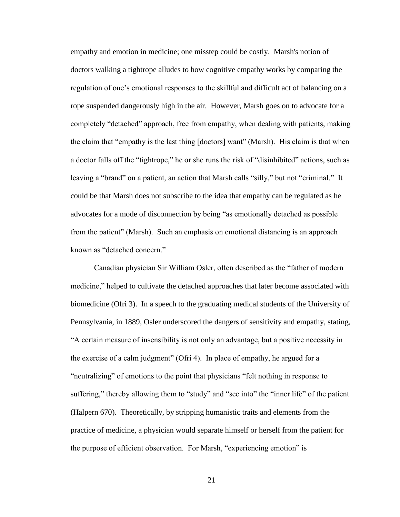empathy and emotion in medicine; one misstep could be costly. Marsh's notion of doctors walking a tightrope alludes to how cognitive empathy works by comparing the regulation of one's emotional responses to the skillful and difficult act of balancing on a rope suspended dangerously high in the air. However, Marsh goes on to advocate for a completely "detached" approach, free from empathy, when dealing with patients, making the claim that "empathy is the last thing [doctors] want" (Marsh). His claim is that when a doctor falls off the "tightrope," he or she runs the risk of "disinhibited" actions, such as leaving a "brand" on a patient, an action that Marsh calls "silly," but not "criminal." It could be that Marsh does not subscribe to the idea that empathy can be regulated as he advocates for a mode of disconnection by being "as emotionally detached as possible from the patient" (Marsh). Such an emphasis on emotional distancing is an approach known as "detached concern."

Canadian physician Sir William Osler, often described as the "father of modern medicine," helped to cultivate the detached approaches that later become associated with biomedicine (Ofri 3). In a speech to the graduating medical students of the University of Pennsylvania, in 1889, Osler underscored the dangers of sensitivity and empathy, stating, "A certain measure of insensibility is not only an advantage, but a positive necessity in the exercise of a calm judgment" (Ofri 4). In place of empathy, he argued for a "neutralizing" of emotions to the point that physicians "felt nothing in response to suffering," thereby allowing them to "study" and "see into" the "inner life" of the patient (Halpern 670). Theoretically, by stripping humanistic traits and elements from the practice of medicine, a physician would separate himself or herself from the patient for the purpose of efficient observation. For Marsh, "experiencing emotion" is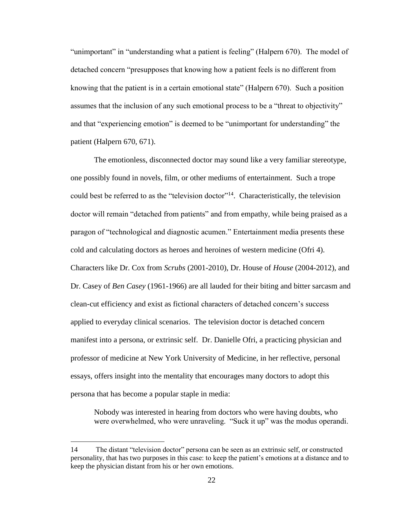"unimportant" in "understanding what a patient is feeling" (Halpern 670). The model of detached concern "presupposes that knowing how a patient feels is no different from knowing that the patient is in a certain emotional state" (Halpern 670). Such a position assumes that the inclusion of any such emotional process to be a "threat to objectivity" and that "experiencing emotion" is deemed to be "unimportant for understanding" the patient (Halpern 670, 671).

The emotionless, disconnected doctor may sound like a very familiar stereotype, one possibly found in novels, film, or other mediums of entertainment. Such a trope could best be referred to as the "television doctor"<sup>14</sup>. Characteristically, the television doctor will remain "detached from patients" and from empathy, while being praised as a paragon of "technological and diagnostic acumen." Entertainment media presents these cold and calculating doctors as heroes and heroines of western medicine (Ofri 4). Characters like Dr. Cox from *Scrubs* (2001-2010), Dr. House of *House* (2004-2012), and Dr. Casey of *Ben Casey* (1961-1966) are all lauded for their biting and bitter sarcasm and clean-cut efficiency and exist as fictional characters of detached concern's success applied to everyday clinical scenarios. The television doctor is detached concern manifest into a persona, or extrinsic self. Dr. Danielle Ofri, a practicing physician and professor of medicine at New York University of Medicine, in her reflective, personal essays, offers insight into the mentality that encourages many doctors to adopt this persona that has become a popular staple in media:

Nobody was interested in hearing from doctors who were having doubts, who were overwhelmed, who were unraveling. "Suck it up" was the modus operandi.

<sup>14</sup> The distant "television doctor" persona can be seen as an extrinsic self, or constructed personality, that has two purposes in this case: to keep the patient's emotions at a distance and to keep the physician distant from his or her own emotions.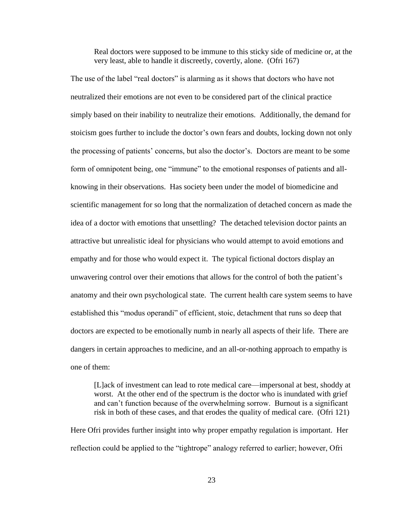Real doctors were supposed to be immune to this sticky side of medicine or, at the very least, able to handle it discreetly, covertly, alone. (Ofri 167)

The use of the label "real doctors" is alarming as it shows that doctors who have not neutralized their emotions are not even to be considered part of the clinical practice simply based on their inability to neutralize their emotions. Additionally, the demand for stoicism goes further to include the doctor's own fears and doubts, locking down not only the processing of patients' concerns, but also the doctor's. Doctors are meant to be some form of omnipotent being, one "immune" to the emotional responses of patients and allknowing in their observations. Has society been under the model of biomedicine and scientific management for so long that the normalization of detached concern as made the idea of a doctor with emotions that unsettling? The detached television doctor paints an attractive but unrealistic ideal for physicians who would attempt to avoid emotions and empathy and for those who would expect it. The typical fictional doctors display an unwavering control over their emotions that allows for the control of both the patient's anatomy and their own psychological state. The current health care system seems to have established this "modus operandi" of efficient, stoic, detachment that runs so deep that doctors are expected to be emotionally numb in nearly all aspects of their life. There are dangers in certain approaches to medicine, and an all-or-nothing approach to empathy is one of them:

[L]ack of investment can lead to rote medical care—impersonal at best, shoddy at worst. At the other end of the spectrum is the doctor who is inundated with grief and can't function because of the overwhelming sorrow. Burnout is a significant risk in both of these cases, and that erodes the quality of medical care. (Ofri 121)

Here Ofri provides further insight into why proper empathy regulation is important. Her reflection could be applied to the "tightrope" analogy referred to earlier; however, Ofri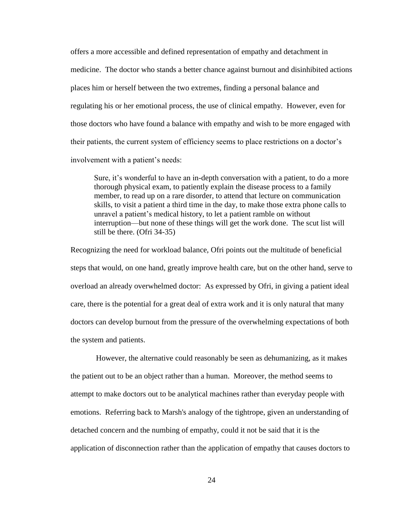offers a more accessible and defined representation of empathy and detachment in medicine. The doctor who stands a better chance against burnout and disinhibited actions places him or herself between the two extremes, finding a personal balance and regulating his or her emotional process, the use of clinical empathy. However, even for those doctors who have found a balance with empathy and wish to be more engaged with their patients, the current system of efficiency seems to place restrictions on a doctor's involvement with a patient's needs:

Sure, it's wonderful to have an in-depth conversation with a patient, to do a more thorough physical exam, to patiently explain the disease process to a family member, to read up on a rare disorder, to attend that lecture on communication skills, to visit a patient a third time in the day, to make those extra phone calls to unravel a patient's medical history, to let a patient ramble on without interruption—but none of these things will get the work done. The scut list will still be there. (Ofri 34-35)

Recognizing the need for workload balance, Ofri points out the multitude of beneficial steps that would, on one hand, greatly improve health care, but on the other hand, serve to overload an already overwhelmed doctor: As expressed by Ofri, in giving a patient ideal care, there is the potential for a great deal of extra work and it is only natural that many doctors can develop burnout from the pressure of the overwhelming expectations of both the system and patients.

However, the alternative could reasonably be seen as dehumanizing, as it makes the patient out to be an object rather than a human. Moreover, the method seems to attempt to make doctors out to be analytical machines rather than everyday people with emotions. Referring back to Marsh's analogy of the tightrope, given an understanding of detached concern and the numbing of empathy, could it not be said that it is the application of disconnection rather than the application of empathy that causes doctors to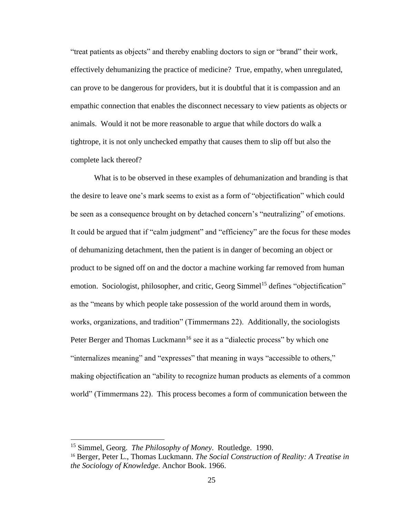"treat patients as objects" and thereby enabling doctors to sign or "brand" their work, effectively dehumanizing the practice of medicine? True, empathy, when unregulated, can prove to be dangerous for providers, but it is doubtful that it is compassion and an empathic connection that enables the disconnect necessary to view patients as objects or animals. Would it not be more reasonable to argue that while doctors do walk a tightrope, it is not only unchecked empathy that causes them to slip off but also the complete lack thereof?

What is to be observed in these examples of dehumanization and branding is that the desire to leave one's mark seems to exist as a form of "objectification" which could be seen as a consequence brought on by detached concern's "neutralizing" of emotions. It could be argued that if "calm judgment" and "efficiency" are the focus for these modes of dehumanizing detachment, then the patient is in danger of becoming an object or product to be signed off on and the doctor a machine working far removed from human emotion. Sociologist, philosopher, and critic, Georg Simmel<sup>15</sup> defines "objectification" as the "means by which people take possession of the world around them in words, works, organizations, and tradition" (Timmermans 22). Additionally, the sociologists Peter Berger and Thomas Luckmann<sup>16</sup> see it as a "dialectic process" by which one "internalizes meaning" and "expresses" that meaning in ways "accessible to others," making objectification an "ability to recognize human products as elements of a common world" (Timmermans 22). This process becomes a form of communication between the

<sup>15</sup> Simmel, Georg. *The Philosophy of Money*. Routledge. 1990.

<sup>16</sup> Berger, Peter L., Thomas Luckmann. *The Social Construction of Reality: A Treatise in the Sociology of Knowledge*. Anchor Book. 1966.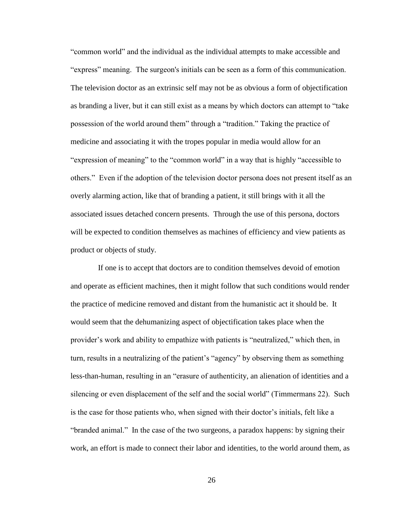"common world" and the individual as the individual attempts to make accessible and "express" meaning. The surgeon's initials can be seen as a form of this communication. The television doctor as an extrinsic self may not be as obvious a form of objectification as branding a liver, but it can still exist as a means by which doctors can attempt to "take possession of the world around them" through a "tradition." Taking the practice of medicine and associating it with the tropes popular in media would allow for an "expression of meaning" to the "common world" in a way that is highly "accessible to others." Even if the adoption of the television doctor persona does not present itself as an overly alarming action, like that of branding a patient, it still brings with it all the associated issues detached concern presents. Through the use of this persona, doctors will be expected to condition themselves as machines of efficiency and view patients as product or objects of study.

 If one is to accept that doctors are to condition themselves devoid of emotion and operate as efficient machines, then it might follow that such conditions would render the practice of medicine removed and distant from the humanistic act it should be. It would seem that the dehumanizing aspect of objectification takes place when the provider's work and ability to empathize with patients is "neutralized," which then, in turn, results in a neutralizing of the patient's "agency" by observing them as something less-than-human, resulting in an "erasure of authenticity, an alienation of identities and a silencing or even displacement of the self and the social world" (Timmermans 22). Such is the case for those patients who, when signed with their doctor's initials, felt like a "branded animal." In the case of the two surgeons, a paradox happens: by signing their work, an effort is made to connect their labor and identities, to the world around them, as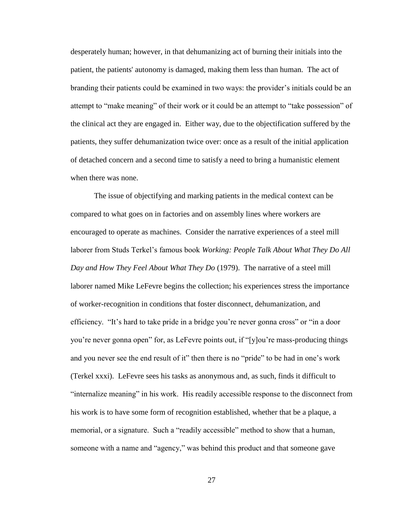desperately human; however, in that dehumanizing act of burning their initials into the patient, the patients' autonomy is damaged, making them less than human. The act of branding their patients could be examined in two ways: the provider's initials could be an attempt to "make meaning" of their work or it could be an attempt to "take possession" of the clinical act they are engaged in. Either way, due to the objectification suffered by the patients, they suffer dehumanization twice over: once as a result of the initial application of detached concern and a second time to satisfy a need to bring a humanistic element when there was none.

The issue of objectifying and marking patients in the medical context can be compared to what goes on in factories and on assembly lines where workers are encouraged to operate as machines. Consider the narrative experiences of a steel mill laborer from Studs Terkel's famous book *Working: People Talk About What They Do All Day and How They Feel About What They Do* (1979). The narrative of a steel mill laborer named Mike LeFevre begins the collection; his experiences stress the importance of worker-recognition in conditions that foster disconnect, dehumanization, and efficiency. "It's hard to take pride in a bridge you're never gonna cross" or "in a door you're never gonna open" for, as LeFevre points out, if "[y]ou're mass-producing things and you never see the end result of it" then there is no "pride" to be had in one's work (Terkel xxxi). LeFevre sees his tasks as anonymous and, as such, finds it difficult to "internalize meaning" in his work. His readily accessible response to the disconnect from his work is to have some form of recognition established, whether that be a plaque, a memorial, or a signature. Such a "readily accessible" method to show that a human, someone with a name and "agency," was behind this product and that someone gave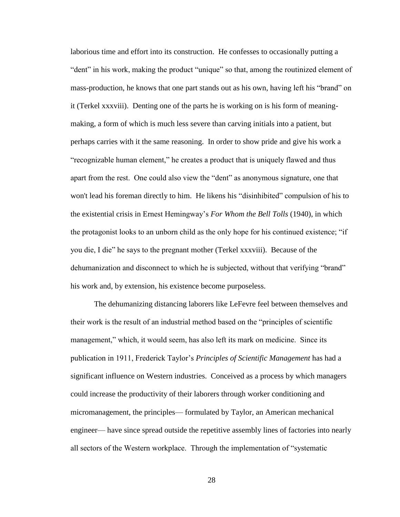laborious time and effort into its construction. He confesses to occasionally putting a "dent" in his work, making the product "unique" so that, among the routinized element of mass-production, he knows that one part stands out as his own, having left his "brand" on it (Terkel xxxviii). Denting one of the parts he is working on is his form of meaningmaking, a form of which is much less severe than carving initials into a patient, but perhaps carries with it the same reasoning. In order to show pride and give his work a "recognizable human element," he creates a product that is uniquely flawed and thus apart from the rest. One could also view the "dent" as anonymous signature, one that won't lead his foreman directly to him. He likens his "disinhibited" compulsion of his to the existential crisis in Ernest Hemingway's *For Whom the Bell Tolls* (1940), in which the protagonist looks to an unborn child as the only hope for his continued existence; "if you die, I die" he says to the pregnant mother (Terkel xxxviii). Because of the dehumanization and disconnect to which he is subjected, without that verifying "brand" his work and, by extension, his existence become purposeless.

The dehumanizing distancing laborers like LeFevre feel between themselves and their work is the result of an industrial method based on the "principles of scientific management," which, it would seem, has also left its mark on medicine. Since its publication in 1911, Frederick Taylor's *Principles of Scientific Management* has had a significant influence on Western industries. Conceived as a process by which managers could increase the productivity of their laborers through worker conditioning and micromanagement, the principles— formulated by Taylor, an American mechanical engineer— have since spread outside the repetitive assembly lines of factories into nearly all sectors of the Western workplace. Through the implementation of "systematic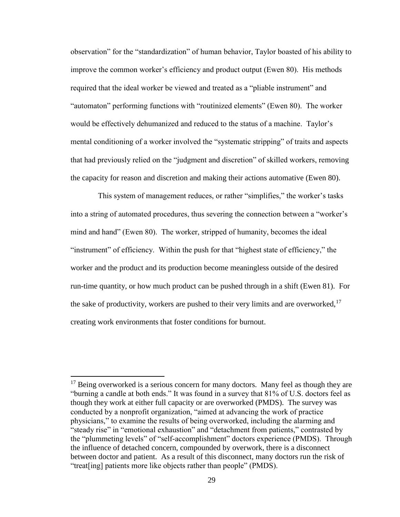observation" for the "standardization" of human behavior, Taylor boasted of his ability to improve the common worker's efficiency and product output (Ewen 80). His methods required that the ideal worker be viewed and treated as a "pliable instrument" and "automaton" performing functions with "routinized elements" (Ewen 80). The worker would be effectively dehumanized and reduced to the status of a machine. Taylor's mental conditioning of a worker involved the "systematic stripping" of traits and aspects that had previously relied on the "judgment and discretion" of skilled workers, removing the capacity for reason and discretion and making their actions automative (Ewen 80).

 This system of management reduces, or rather "simplifies," the worker's tasks into a string of automated procedures, thus severing the connection between a "worker's mind and hand" (Ewen 80). The worker, stripped of humanity, becomes the ideal "instrument" of efficiency. Within the push for that "highest state of efficiency," the worker and the product and its production become meaningless outside of the desired run-time quantity, or how much product can be pushed through in a shift (Ewen 81). For the sake of productivity, workers are pushed to their very limits and are overworked, $17$ creating work environments that foster conditions for burnout.

 $17$  Being overworked is a serious concern for many doctors. Many feel as though they are "burning a candle at both ends." It was found in a survey that 81% of U.S. doctors feel as though they work at either full capacity or are overworked (PMDS). The survey was conducted by a nonprofit organization, "aimed at advancing the work of practice physicians," to examine the results of being overworked, including the alarming and "steady rise" in "emotional exhaustion" and "detachment from patients," contrasted by the "plummeting levels" of "self-accomplishment" doctors experience (PMDS). Through the influence of detached concern, compounded by overwork, there is a disconnect between doctor and patient. As a result of this disconnect, many doctors run the risk of "treat[ing] patients more like objects rather than people" (PMDS).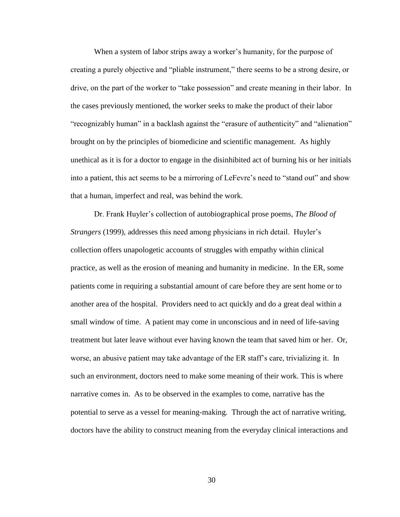When a system of labor strips away a worker's humanity, for the purpose of creating a purely objective and "pliable instrument," there seems to be a strong desire, or drive, on the part of the worker to "take possession" and create meaning in their labor. In the cases previously mentioned, the worker seeks to make the product of their labor "recognizably human" in a backlash against the "erasure of authenticity" and "alienation" brought on by the principles of biomedicine and scientific management. As highly unethical as it is for a doctor to engage in the disinhibited act of burning his or her initials into a patient, this act seems to be a mirroring of LeFevre's need to "stand out" and show that a human, imperfect and real, was behind the work.

Dr. Frank Huyler's collection of autobiographical prose poems, *The Blood of Strangers* (1999), addresses this need among physicians in rich detail. Huyler's collection offers unapologetic accounts of struggles with empathy within clinical practice, as well as the erosion of meaning and humanity in medicine. In the ER, some patients come in requiring a substantial amount of care before they are sent home or to another area of the hospital. Providers need to act quickly and do a great deal within a small window of time. A patient may come in unconscious and in need of life-saving treatment but later leave without ever having known the team that saved him or her. Or, worse, an abusive patient may take advantage of the ER staff's care, trivializing it. In such an environment, doctors need to make some meaning of their work. This is where narrative comes in. As to be observed in the examples to come, narrative has the potential to serve as a vessel for meaning-making. Through the act of narrative writing, doctors have the ability to construct meaning from the everyday clinical interactions and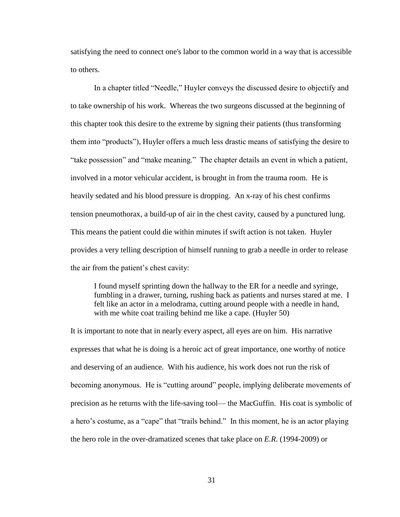satisfying the need to connect one's labor to the common world in a way that is accessible to others.

In a chapter titled "Needle," Huyler conveys the discussed desire to objectify and to take ownership of his work. Whereas the two surgeons discussed at the beginning of this chapter took this desire to the extreme by signing their patients (thus transforming them into "products"), Huyler offers a much less drastic means of satisfying the desire to "take possession" and "make meaning." The chapter details an event in which a patient, involved in a motor vehicular accident, is brought in from the trauma room. He is heavily sedated and his blood pressure is dropping. An x-ray of his chest confirms tension pneumothorax, a build-up of air in the chest cavity, caused by a punctured lung. This means the patient could die within minutes if swift action is not taken. Huyler provides a very telling description of himself running to grab a needle in order to release the air from the patient's chest cavity:

I found myself sprinting down the hallway to the ER for a needle and syringe, fumbling in a drawer, turning, rushing back as patients and nurses stared at me. I felt like an actor in a melodrama, cutting around people with a needle in hand, with me white coat trailing behind me like a cape. (Huyler 50)

It is important to note that in nearly every aspect, all eyes are on him. His narrative expresses that what he is doing is a heroic act of great importance, one worthy of notice and deserving of an audience. With his audience, his work does not run the risk of becoming anonymous. He is "cutting around" people, implying deliberate movements of precision as he returns with the life-saving tool— the MacGuffin. His coat is symbolic of a hero's costume, as a "cape" that "trails behind." In this moment, he is an actor playing the hero role in the over-dramatized scenes that take place on *E.R*. (1994-2009) or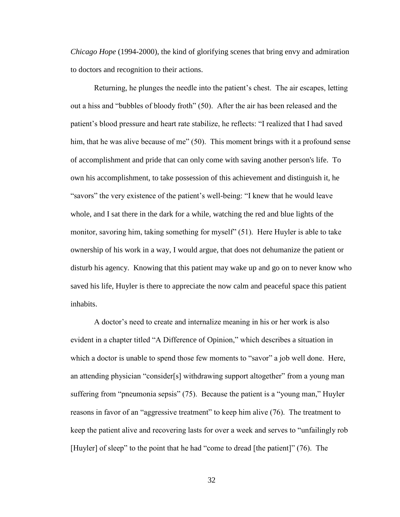*Chicago Hope* (1994-2000), the kind of glorifying scenes that bring envy and admiration to doctors and recognition to their actions.

Returning, he plunges the needle into the patient's chest. The air escapes, letting out a hiss and "bubbles of bloody froth" (50). After the air has been released and the patient's blood pressure and heart rate stabilize, he reflects: "I realized that I had saved him, that he was alive because of me" (50). This moment brings with it a profound sense of accomplishment and pride that can only come with saving another person's life. To own his accomplishment, to take possession of this achievement and distinguish it, he "savors" the very existence of the patient's well-being: "I knew that he would leave whole, and I sat there in the dark for a while, watching the red and blue lights of the monitor, savoring him, taking something for myself" (51). Here Huyler is able to take ownership of his work in a way, I would argue, that does not dehumanize the patient or disturb his agency. Knowing that this patient may wake up and go on to never know who saved his life, Huyler is there to appreciate the now calm and peaceful space this patient inhabits.

A doctor's need to create and internalize meaning in his or her work is also evident in a chapter titled "A Difference of Opinion," which describes a situation in which a doctor is unable to spend those few moments to "savor" a job well done. Here, an attending physician "consider[s] withdrawing support altogether" from a young man suffering from "pneumonia sepsis" (75). Because the patient is a "young man," Huyler reasons in favor of an "aggressive treatment" to keep him alive (76). The treatment to keep the patient alive and recovering lasts for over a week and serves to "unfailingly rob [Huyler] of sleep" to the point that he had "come to dread [the patient]" (76). The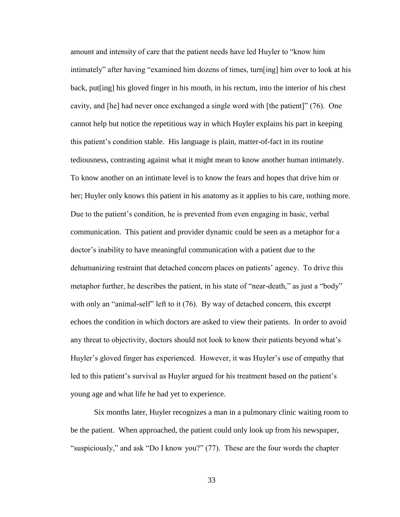amount and intensity of care that the patient needs have led Huyler to "know him intimately" after having "examined him dozens of times, turn[ing] him over to look at his back, put[ing] his gloved finger in his mouth, in his rectum, into the interior of his chest cavity, and [he] had never once exchanged a single word with [the patient]" (76). One cannot help but notice the repetitious way in which Huyler explains his part in keeping this patient's condition stable. His language is plain, matter-of-fact in its routine tediousness, contrasting against what it might mean to know another human intimately. To know another on an intimate level is to know the fears and hopes that drive him or her; Huyler only knows this patient in his anatomy as it applies to his care, nothing more. Due to the patient's condition, he is prevented from even engaging in basic, verbal communication. This patient and provider dynamic could be seen as a metaphor for a doctor's inability to have meaningful communication with a patient due to the dehumanizing restraint that detached concern places on patients' agency. To drive this metaphor further, he describes the patient, in his state of "near-death," as just a "body" with only an "animal-self" left to it (76). By way of detached concern, this excerpt echoes the condition in which doctors are asked to view their patients. In order to avoid any threat to objectivity, doctors should not look to know their patients beyond what's Huyler's gloved finger has experienced. However, it was Huyler's use of empathy that led to this patient's survival as Huyler argued for his treatment based on the patient's young age and what life he had yet to experience.

Six months later, Huyler recognizes a man in a pulmonary clinic waiting room to be the patient. When approached, the patient could only look up from his newspaper, "suspiciously," and ask "Do I know you?" (77). These are the four words the chapter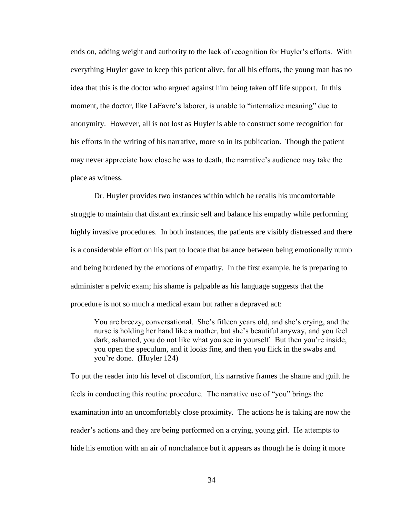ends on, adding weight and authority to the lack of recognition for Huyler's efforts. With everything Huyler gave to keep this patient alive, for all his efforts, the young man has no idea that this is the doctor who argued against him being taken off life support. In this moment, the doctor, like LaFavre's laborer, is unable to "internalize meaning" due to anonymity. However, all is not lost as Huyler is able to construct some recognition for his efforts in the writing of his narrative, more so in its publication. Though the patient may never appreciate how close he was to death, the narrative's audience may take the place as witness.

Dr. Huyler provides two instances within which he recalls his uncomfortable struggle to maintain that distant extrinsic self and balance his empathy while performing highly invasive procedures. In both instances, the patients are visibly distressed and there is a considerable effort on his part to locate that balance between being emotionally numb and being burdened by the emotions of empathy. In the first example, he is preparing to administer a pelvic exam; his shame is palpable as his language suggests that the procedure is not so much a medical exam but rather a depraved act:

You are breezy, conversational. She's fifteen years old, and she's crying, and the nurse is holding her hand like a mother, but she's beautiful anyway, and you feel dark, ashamed, you do not like what you see in yourself. But then you're inside, you open the speculum, and it looks fine, and then you flick in the swabs and you're done. (Huyler 124)

To put the reader into his level of discomfort, his narrative frames the shame and guilt he feels in conducting this routine procedure. The narrative use of "you" brings the examination into an uncomfortably close proximity. The actions he is taking are now the reader's actions and they are being performed on a crying, young girl. He attempts to hide his emotion with an air of nonchalance but it appears as though he is doing it more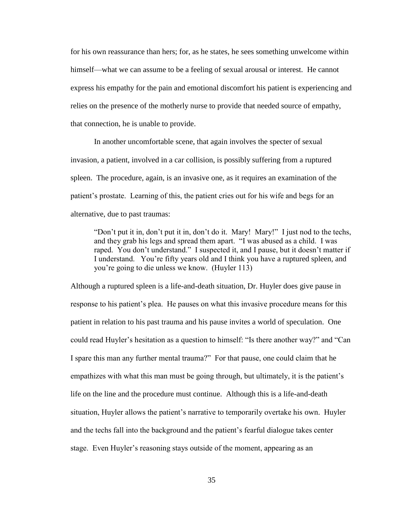for his own reassurance than hers; for, as he states, he sees something unwelcome within himself—what we can assume to be a feeling of sexual arousal or interest. He cannot express his empathy for the pain and emotional discomfort his patient is experiencing and relies on the presence of the motherly nurse to provide that needed source of empathy, that connection, he is unable to provide.

In another uncomfortable scene, that again involves the specter of sexual invasion, a patient, involved in a car collision, is possibly suffering from a ruptured spleen. The procedure, again, is an invasive one, as it requires an examination of the patient's prostate. Learning of this, the patient cries out for his wife and begs for an alternative, due to past traumas:

"Don't put it in, don't put it in, don't do it. Mary! Mary!" I just nod to the techs, and they grab his legs and spread them apart. "I was abused as a child. I was raped. You don't understand." I suspected it, and I pause, but it doesn't matter if I understand. You're fifty years old and I think you have a ruptured spleen, and you're going to die unless we know. (Huyler 113)

Although a ruptured spleen is a life-and-death situation, Dr. Huyler does give pause in response to his patient's plea. He pauses on what this invasive procedure means for this patient in relation to his past trauma and his pause invites a world of speculation. One could read Huyler's hesitation as a question to himself: "Is there another way?" and "Can I spare this man any further mental trauma?" For that pause, one could claim that he empathizes with what this man must be going through, but ultimately, it is the patient's life on the line and the procedure must continue. Although this is a life-and-death situation, Huyler allows the patient's narrative to temporarily overtake his own. Huyler and the techs fall into the background and the patient's fearful dialogue takes center stage. Even Huyler's reasoning stays outside of the moment, appearing as an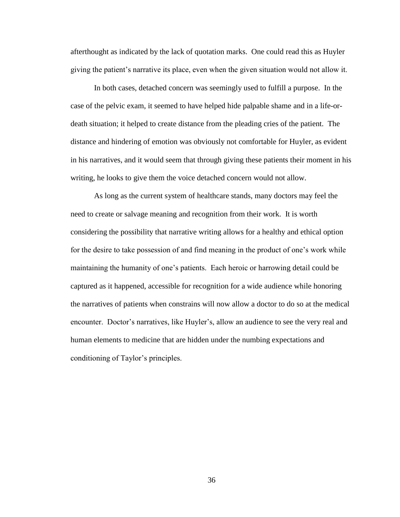afterthought as indicated by the lack of quotation marks. One could read this as Huyler giving the patient's narrative its place, even when the given situation would not allow it.

In both cases, detached concern was seemingly used to fulfill a purpose. In the case of the pelvic exam, it seemed to have helped hide palpable shame and in a life-ordeath situation; it helped to create distance from the pleading cries of the patient. The distance and hindering of emotion was obviously not comfortable for Huyler, as evident in his narratives, and it would seem that through giving these patients their moment in his writing, he looks to give them the voice detached concern would not allow.

As long as the current system of healthcare stands, many doctors may feel the need to create or salvage meaning and recognition from their work. It is worth considering the possibility that narrative writing allows for a healthy and ethical option for the desire to take possession of and find meaning in the product of one's work while maintaining the humanity of one's patients. Each heroic or harrowing detail could be captured as it happened, accessible for recognition for a wide audience while honoring the narratives of patients when constrains will now allow a doctor to do so at the medical encounter. Doctor's narratives, like Huyler's, allow an audience to see the very real and human elements to medicine that are hidden under the numbing expectations and conditioning of Taylor's principles.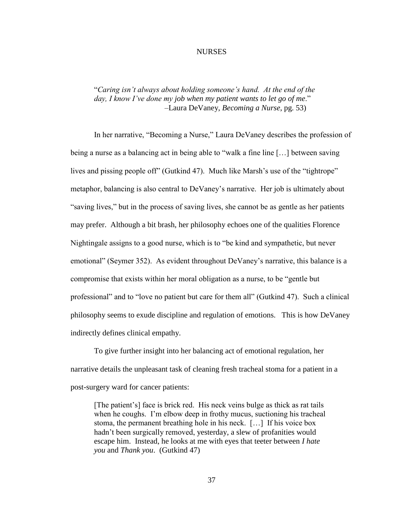#### NURSES

### <span id="page-42-0"></span>"*Caring isn't always about holding someone's hand. At the end of the day, I know I've done my job when my patient wants to let go of me*." –Laura DeVaney, *Becoming a Nurse*, pg. 53)

In her narrative, "Becoming a Nurse," Laura DeVaney describes the profession of being a nurse as a balancing act in being able to "walk a fine line […] between saving lives and pissing people of f" (Gutkind 47). Much like Marsh's use of the "tightrope" metaphor, balancing is also central to DeVaney's narrative. Her job is ultimately about "saving lives," but in the process of saving lives, she cannot be as gentle as her patients may prefer. Although a bit brash, her philosophy echoes one of the qualities Florence Nightingale assigns to a good nurse, which is to "be kind and sympathetic, but never emotional" (Seymer 352). As evident throughout DeVaney's narrative, this balance is a compromise that exists within her moral obligation as a nurse, to be "gentle but professional" and to "love no patient but care for them all" (Gutkind 47). Such a clinical philosophy seems to exude discipline and regulation of emotions. This is how DeVaney indirectly defines clinical empathy.

To give further insight into her balancing act of emotional regulation, her narrative details the unpleasant task of cleaning fresh tracheal stoma for a patient in a post-surgery ward for cancer patients:

[The patient's] face is brick red. His neck veins bulge as thick as rat tails when he coughs. I'm elbow deep in frothy mucus, suctioning his tracheal stoma, the permanent breathing hole in his neck. […] If his voice box hadn't been surgically removed, yesterday, a slew of profanities would escape him. Instead, he looks at me with eyes that teeter between *I hate you* and *Thank you*. (Gutkind 47)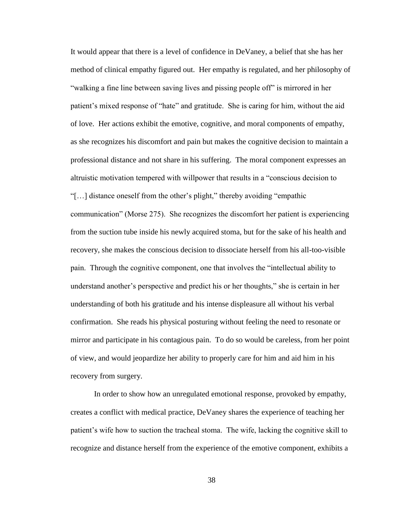It would appear that there is a level of confidence in DeVaney, a belief that she has her method of clinical empathy figured out. Her empathy is regulated, and her philosophy of "walking a fine line between saving lives and pissing people off" is mirrored in her patient's mixed response of "hate" and gratitude. She is caring for him, without the aid of love. Her actions exhibit the emotive, cognitive, and moral components of empathy, as she recognizes his discomfort and pain but makes the cognitive decision to maintain a professional distance and not share in his suffering. The moral component expresses an altruistic motivation tempered with willpower that results in a "conscious decision to "[…] distance oneself from the other's plight," thereby avoiding "empathic communication" (Morse 275). She recognizes the discomfort her patient is experiencing from the suction tube inside his newly acquired stoma, but for the sake of his health and recovery, she makes the conscious decision to dissociate herself from his all-too-visible pain. Through the cognitive component, one that involves the "intellectual ability to understand another's perspective and predict his or her thoughts," she is certain in her understanding of both his gratitude and his intense displeasure all without his verbal confirmation. She reads his physical posturing without feeling the need to resonate or mirror and participate in his contagious pain. To do so would be careless, from her point of view, and would jeopardize her ability to properly care for him and aid him in his recovery from surgery.

In order to show how an unregulated emotional response, provoked by empathy, creates a conflict with medical practice, DeVaney shares the experience of teaching her patient's wife how to suction the tracheal stoma. The wife, lacking the cognitive skill to recognize and distance herself from the experience of the emotive component, exhibits a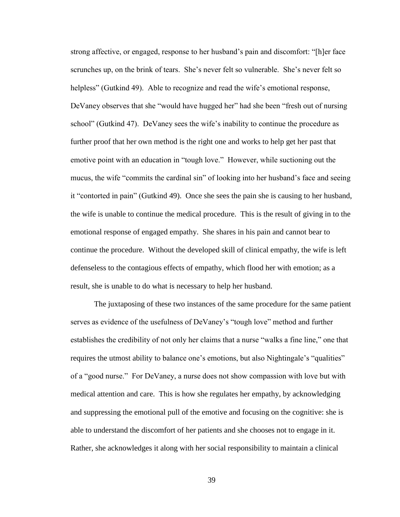strong affective, or engaged, response to her husband's pain and discomfort: "[h]er face scrunches up, on the brink of tears. She's never felt so vulnerable. She's never felt so helpless" (Gutkind 49). Able to recognize and read the wife's emotional response, DeVaney observes that she "would have hugged her" had she been "fresh out of nursing school" (Gutkind 47). DeVaney sees the wife's inability to continue the procedure as further proof that her own method is the right one and works to help get her past that emotive point with an education in "tough love." However, while suctioning out the mucus, the wife "commits the cardinal sin" of looking into her husband's face and seeing it "contorted in pain" (Gutkind 49). Once she sees the pain she is causing to her husband, the wife is unable to continue the medical procedure. This is the result of giving in to the emotional response of engaged empathy. She shares in his pain and cannot bear to continue the procedure. Without the developed skill of clinical empathy, the wife is left defenseless to the contagious effects of empathy, which flood her with emotion; as a result, she is unable to do what is necessary to help her husband.

The juxtaposing of these two instances of the same procedure for the same patient serves as evidence of the usefulness of DeVaney's "tough love" method and further establishes the credibility of not only her claims that a nurse "walks a fine line," one that requires the utmost ability to balance one's emotions, but also Nightingale's "qualities" of a "good nurse." For DeVaney, a nurse does not show compassion with love but with medical attention and care. This is how she regulates her empathy, by acknowledging and suppressing the emotional pull of the emotive and focusing on the cognitive: she is able to understand the discomfort of her patients and she chooses not to engage in it. Rather, she acknowledges it along with her social responsibility to maintain a clinical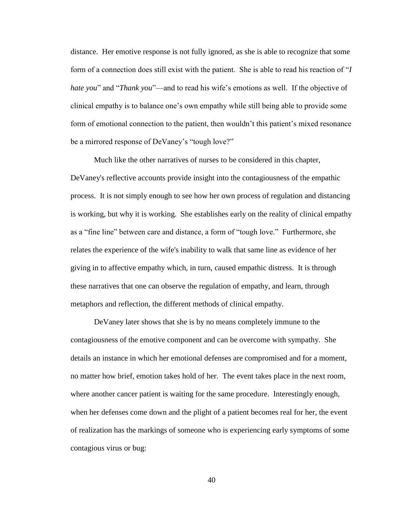distance. Her emotive response is not fully ignored, as she is able to recognize that some form of a connection does still exist with the patient. She is able to read his reaction of "*I hate you*" and "*Thank you*"—and to read his wife's emotions as well. If the objective of clinical empathy is to balance one's own empathy while still being able to provide some form of emotional connection to the patient, then wouldn't this patient's mixed resonance be a mirrored response of DeVaney's "tough love?"

Much like the other narratives of nurses to be considered in this chapter, DeVaney's reflective accounts provide insight into the contagiousness of the empathic process. It is not simply enough to see how her own process of regulation and distancing is working, but why it is working. She establishes early on the reality of clinical empathy as a "fine line" between care and distance, a form of "tough love." Furthermore, she relates the experience of the wife's inability to walk that same line as evidence of her giving in to affective empathy which, in turn, caused empathic distress. It is through these narratives that one can observe the regulation of empathy, and learn, through metaphors and reflection, the different methods of clinical empathy.

DeVaney later shows that she is by no means completely immune to the contagiousness of the emotive component and can be overcome with sympathy. She details an instance in which her emotional defenses are compromised and for a moment, no matter how brief, emotion takes hold of her. The event takes place in the next room, where another cancer patient is waiting for the same procedure. Interestingly enough, when her defenses come down and the plight of a patient becomes real for her, the event of realization has the markings of someone who is experiencing early symptoms of some contagious virus or bug: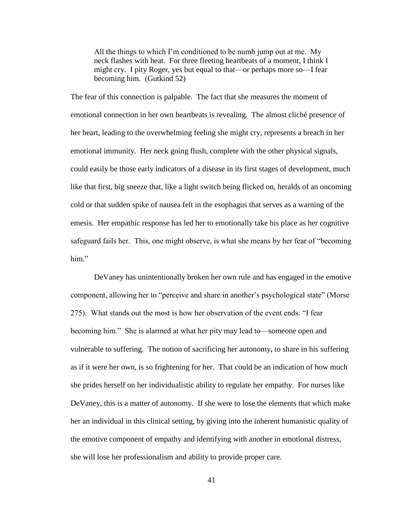All the things to which I'm conditioned to be numb jump out at me. My neck flashes with heat. For three fleeting heartbeats of a moment, I think I might cry. I pity Roger, yes but equal to that—or perhaps more so—I fear becoming him. (Gutkind 52)

The fear of this connection is palpable. The fact that she measures the moment of emotional connection in her own heartbeats is revealing. The almost cliché presence of her heart, leading to the overwhelming feeling she might cry, represents a breach in her emotional immunity. Her neck going flush, complete with the other physical signals, could easily be those early indicators of a disease in its first stages of development, much like that first, big sneeze that, like a light switch being flicked on, heralds of an oncoming cold or that sudden spike of nausea felt in the esophagus that serves as a warning of the emesis. Her empathic response has led her to emotionally take his place as her cognitive safeguard fails her. This, one might observe, is what she means by her fear of "becoming him."

DeVaney has unintentionally broken her own rule and has engaged in the emotive component, allowing her to "perceive and share in another's psychological state" (Morse 275). What stands out the most is how her observation of the event ends: "I fear becoming him." She is alarmed at what her pity may lead to—someone open and vulnerable to suffering. The notion of sacrificing her autonomy, to share in his suffering as if it were her own, is so frightening for her. That could be an indication of how much she prides herself on her individualistic ability to regulate her empathy. For nurses like DeVaney, this is a matter of autonomy. If she were to lose the elements that which make her an individual in this clinical setting, by giving into the inherent humanistic quality of the emotive component of empathy and identifying with another in emotional distress, she will lose her professionalism and ability to provide proper care.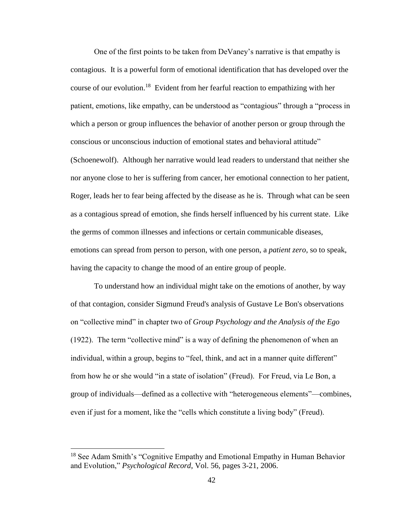One of the first points to be taken from DeVaney's narrative is that empathy is contagious. It is a powerful form of emotional identification that has developed over the course of our evolution.<sup>18</sup> Evident from her fearful reaction to empathizing with her patient, emotions, like empathy, can be understood as "contagious" through a "process in which a person or group influences the behavior of another person or group through the conscious or unconscious induction of emotional states and behavioral attitude" (Schoenewolf). Although her narrative would lead readers to understand that neither she nor anyone close to her is suffering from cancer, her emotional connection to her patient, Roger, leads her to fear being affected by the disease as he is. Through what can be seen as a contagious spread of emotion, she finds herself influenced by his current state. Like the germs of common illnesses and infections or certain communicable diseases, emotions can spread from person to person, with one person, a *patient zero*, so to speak, having the capacity to change the mood of an entire group of people.

To understand how an individual might take on the emotions of another, by way of that contagion, consider Sigmund Freud's analysis of Gustave Le Bon's observations on "collective mind" in chapter two of *Group Psychology and the Analysis of the Ego* (1922). The term "collective mind" is a way of defining the phenomenon of when an individual, within a group, begins to "feel, think, and act in a manner quite different" from how he or she would "in a state of isolation" (Freud). For Freud, via Le Bon, a group of individuals—defined as a collective with "heterogeneous elements"—combines, even if just for a moment, like the "cells which constitute a living body" (Freud).

<sup>&</sup>lt;sup>18</sup> See Adam Smith's "Cognitive Empathy and Emotional Empathy in Human Behavior and Evolution," *Psychological Record*, Vol. 56, pages 3-21, 2006.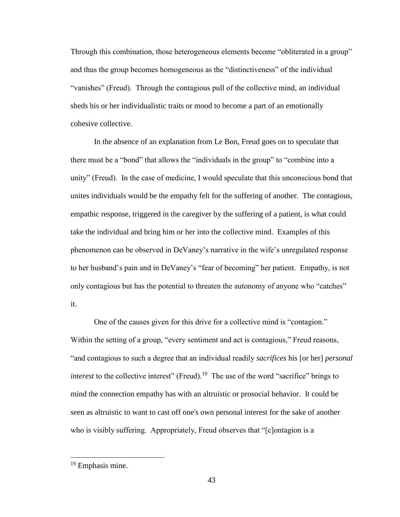Through this combination, those heterogeneous elements become "obliterated in a group" and thus the group becomes homogeneous as the "distinctiveness" of the individual "vanishes" (Freud). Through the contagious pull of the collective mind, an individual sheds his or her individualistic traits or mood to become a part of an emotionally cohesive collective.

In the absence of an explanation from Le Bon, Freud goes on to speculate that there must be a "bond" that allows the "individuals in the group" to "combine into a unity" (Freud). In the case of medicine, I would speculate that this unconscious bond that unites individuals would be the empathy felt for the suffering of another. The contagious, empathic response, triggered in the caregiver by the suffering of a patient, is what could take the individual and bring him or her into the collective mind. Examples of this phenomenon can be observed in DeVaney's narrative in the wife's unregulated response to her husband's pain and in DeVaney's "fear of becoming" her patient. Empathy, is not only contagious but has the potential to threaten the autonomy of anyone who "catches" it.

One of the causes given for this drive for a collective mind is "contagion." Within the setting of a group, "every sentiment and act is contagious," Freud reasons, "and contagious to such a degree that an individual readily *sacrifices* his [or her] *personal interest* to the collective interest" (Freud).<sup>19</sup> The use of the word "sacrifice" brings to mind the connection empathy has with an altruistic or prosocial behavior. It could be seen as altruistic to want to cast off one's own personal interest for the sake of another who is visibly suffering. Appropriately, Freud observes that "[c]ontagion is a

<sup>&</sup>lt;sup>19</sup> Emphasis mine.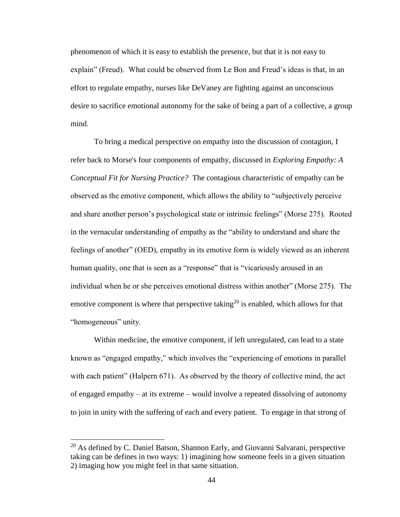phenomenon of which it is easy to establish the presence, but that it is not easy to explain" (Freud). What could be observed from Le Bon and Freud's ideas is that, in an effort to regulate empathy, nurses like DeVaney are fighting against an unconscious desire to sacrifice emotional autonomy for the sake of being a part of a collective, a group mind.

To bring a medical perspective on empathy into the discussion of contagion, I refer back to Morse's four components of empathy, discussed in *Exploring Empathy: A Conceptual Fit for Nursing Practice?* The contagious characteristic of empathy can be observed as the emotive component, which allows the ability to "subjectively perceive and share another person's psychological state or intrinsic feelings" (Morse 275). Rooted in the vernacular understanding of empathy as the "ability to understand and share the feelings of another" (OED), empathy in its emotive form is widely viewed as an inherent human quality, one that is seen as a "response" that is "vicariously aroused in an individual when he or she perceives emotional distress within another" (Morse 275). The emotive component is where that perspective taking<sup>20</sup> is enabled, which allows for that "homogeneous" unity.

Within medicine, the emotive component, if left unregulated, can lead to a state known as "engaged empathy," which involves the "experiencing of emotions in parallel with each patient" (Halpern 671). As observed by the theory of collective mind, the act of engaged empathy – at its extreme – would involve a repeated dissolving of autonomy to join in unity with the suffering of each and every patient. To engage in that strong of

 $20$  As defined by C. Daniel Batson, Shannon Early, and Giovanni Salvarani, perspective taking can be defines in two ways: 1) imagining how someone feels in a given situation 2) imaging how you might feel in that same situation.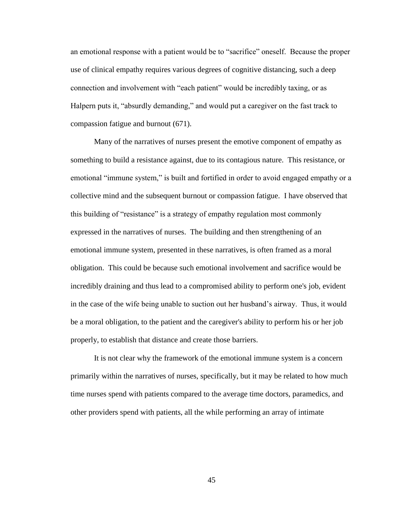an emotional response with a patient would be to "sacrifice" oneself. Because the proper use of clinical empathy requires various degrees of cognitive distancing, such a deep connection and involvement with "each patient" would be incredibly taxing, or as Halpern puts it, "absurdly demanding," and would put a caregiver on the fast track to compassion fatigue and burnout (671).

Many of the narratives of nurses present the emotive component of empathy as something to build a resistance against, due to its contagious nature. This resistance, or emotional "immune system," is built and fortified in order to avoid engaged empathy or a collective mind and the subsequent burnout or compassion fatigue. I have observed that this building of "resistance" is a strategy of empathy regulation most commonly expressed in the narratives of nurses. The building and then strengthening of an emotional immune system, presented in these narratives, is often framed as a moral obligation. This could be because such emotional involvement and sacrifice would be incredibly draining and thus lead to a compromised ability to perform one's job, evident in the case of the wife being unable to suction out her husband's airway. Thus, it would be a moral obligation, to the patient and the caregiver's ability to perform his or her job properly, to establish that distance and create those barriers.

It is not clear why the framework of the emotional immune system is a concern primarily within the narratives of nurses, specifically, but it may be related to how much time nurses spend with patients compared to the average time doctors, paramedics, and other providers spend with patients, all the while performing an array of intimate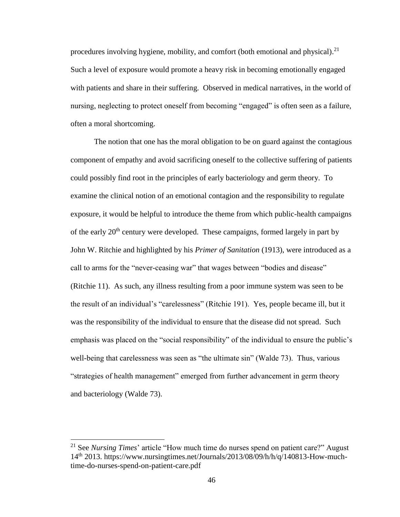procedures involving hygiene, mobility, and comfort (both emotional and physical).<sup>21</sup> Such a level of exposure would promote a heavy risk in becoming emotionally engaged with patients and share in their suffering. Observed in medical narratives, in the world of nursing, neglecting to protect oneself from becoming "engaged" is often seen as a failure, often a moral shortcoming.

The notion that one has the moral obligation to be on guard against the contagious component of empathy and avoid sacrificing oneself to the collective suffering of patients could possibly find root in the principles of early bacteriology and germ theory. To examine the clinical notion of an emotional contagion and the responsibility to regulate exposure, it would be helpful to introduce the theme from which public-health campaigns of the early  $20<sup>th</sup>$  century were developed. These campaigns, formed largely in part by John W. Ritchie and highlighted by his *Primer of Sanitation* (1913), were introduced as a call to arms for the "never-ceasing war" that wages between "bodies and disease" (Ritchie 11). As such, any illness resulting from a poor immune system was seen to be the result of an individual's "carelessness" (Ritchie 191). Yes, people became ill, but it was the responsibility of the individual to ensure that the disease did not spread. Such emphasis was placed on the "social responsibility" of the individual to ensure the public's well-being that carelessness was seen as "the ultimate sin" (Walde 73). Thus, various "strategies of health management" emerged from further advancement in germ theory and bacteriology (Walde 73).

<sup>21</sup> See *Nursing Times*' article "How much time do nurses spend on patient care?" August 14th 2013. https://www.nursingtimes.net/Journals/2013/08/09/h/h/q/140813-How-muchtime-do-nurses-spend-on-patient-care.pdf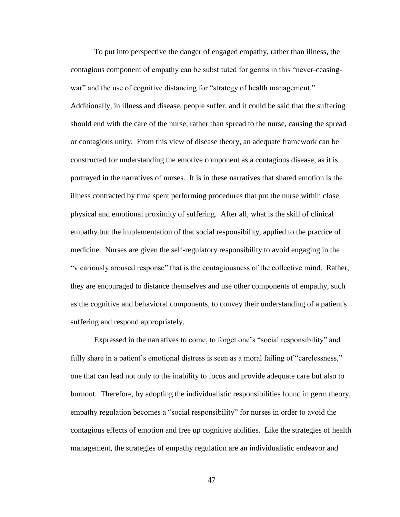To put into perspective the danger of engaged empathy, rather than illness, the contagious component of empathy can be substituted for germs in this "never-ceasingwar" and the use of cognitive distancing for "strategy of health management." Additionally, in illness and disease, people suffer, and it could be said that the suffering should end with the care of the nurse, rather than spread to the nurse, causing the spread or contagious unity. From this view of disease theory, an adequate framework can be constructed for understanding the emotive component as a contagious disease, as it is portrayed in the narratives of nurses. It is in these narratives that shared emotion is the illness contracted by time spent performing procedures that put the nurse within close physical and emotional proximity of suffering. After all, what is the skill of clinical empathy but the implementation of that social responsibility, applied to the practice of medicine. Nurses are given the self-regulatory responsibility to avoid engaging in the "vicariously aroused response" that is the contagiousness of the collective mind. Rather, they are encouraged to distance themselves and use other components of empathy, such as the cognitive and behavioral components, to convey their understanding of a patient's suffering and respond appropriately.

Expressed in the narratives to come, to forget one's "social responsibility" and fully share in a patient's emotional distress is seen as a moral failing of "carelessness," one that can lead not only to the inability to focus and provide adequate care but also to burnout. Therefore, by adopting the individualistic responsibilities found in germ theory, empathy regulation becomes a "social responsibility" for nurses in order to avoid the contagious effects of emotion and free up cognitive abilities. Like the strategies of health management, the strategies of empathy regulation are an individualistic endeavor and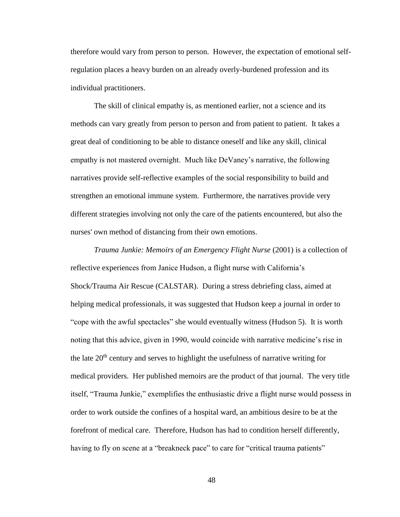therefore would vary from person to person. However, the expectation of emotional selfregulation places a heavy burden on an already overly-burdened profession and its individual practitioners.

The skill of clinical empathy is, as mentioned earlier, not a science and its methods can vary greatly from person to person and from patient to patient. It takes a great deal of conditioning to be able to distance oneself and like any skill, clinical empathy is not mastered overnight. Much like DeVaney's narrative, the following narratives provide self-reflective examples of the social responsibility to build and strengthen an emotional immune system. Furthermore, the narratives provide very different strategies involving not only the care of the patients encountered, but also the nurses' own method of distancing from their own emotions.

*Trauma Junkie: Memoirs of an Emergency Flight Nurse* (2001) is a collection of reflective experiences from Janice Hudson, a flight nurse with California's Shock/Trauma Air Rescue (CALSTAR). During a stress debriefing class, aimed at helping medical professionals, it was suggested that Hudson keep a journal in order to "cope with the awful spectacles" she would eventually witness (Hudson 5). It is worth noting that this advice, given in 1990, would coincide with narrative medicine's rise in the late  $20<sup>th</sup>$  century and serves to highlight the usefulness of narrative writing for medical providers. Her published memoirs are the product of that journal. The very title itself, "Trauma Junkie," exemplifies the enthusiastic drive a flight nurse would possess in order to work outside the confines of a hospital ward, an ambitious desire to be at the forefront of medical care. Therefore, Hudson has had to condition herself differently, having to fly on scene at a "breakneck pace" to care for "critical trauma patients"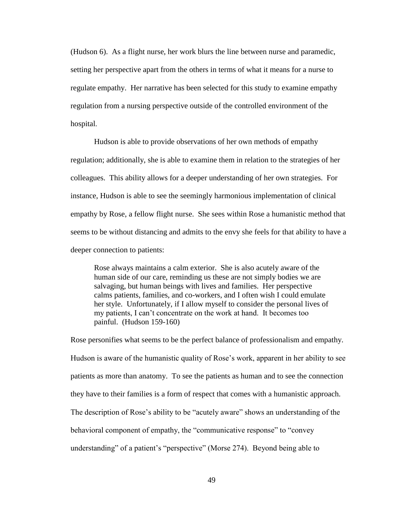(Hudson 6). As a flight nurse, her work blurs the line between nurse and paramedic, setting her perspective apart from the others in terms of what it means for a nurse to regulate empathy. Her narrative has been selected for this study to examine empathy regulation from a nursing perspective outside of the controlled environment of the hospital.

Hudson is able to provide observations of her own methods of empathy regulation; additionally, she is able to examine them in relation to the strategies of her colleagues. This ability allows for a deeper understanding of her own strategies. For instance, Hudson is able to see the seemingly harmonious implementation of clinical empathy by Rose, a fellow flight nurse. She sees within Rose a humanistic method that seems to be without distancing and admits to the envy she feels for that ability to have a deeper connection to patients:

Rose always maintains a calm exterior. She is also acutely aware of the human side of our care, reminding us these are not simply bodies we are salvaging, but human beings with lives and families. Her perspective calms patients, families, and co-workers, and I often wish I could emulate her style. Unfortunately, if I allow myself to consider the personal lives of my patients, I can't concentrate on the work at hand. It becomes too painful. (Hudson 159-160)

Rose personifies what seems to be the perfect balance of professionalism and empathy. Hudson is aware of the humanistic quality of Rose's work, apparent in her ability to see patients as more than anatomy. To see the patients as human and to see the connection they have to their families is a form of respect that comes with a humanistic approach. The description of Rose's ability to be "acutely aware" shows an understanding of the behavioral component of empathy, the "communicative response" to "convey understanding" of a patient's "perspective" (Morse 274). Beyond being able to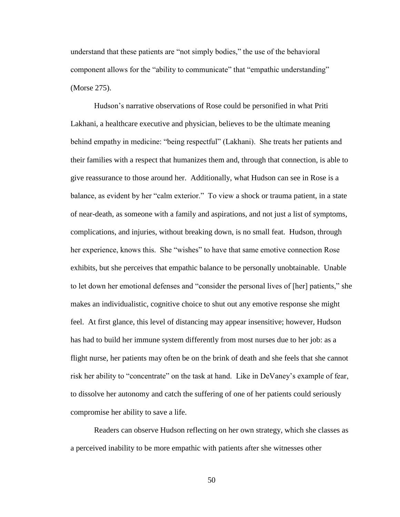understand that these patients are "not simply bodies," the use of the behavioral component allows for the "ability to communicate" that "empathic understanding" (Morse 275).

Hudson's narrative observations of Rose could be personified in what Priti Lakhani, a healthcare executive and physician, believes to be the ultimate meaning behind empathy in medicine: "being respectful" (Lakhani). She treats her patients and their families with a respect that humanizes them and, through that connection, is able to give reassurance to those around her. Additionally, what Hudson can see in Rose is a balance, as evident by her "calm exterior." To view a shock or trauma patient, in a state of near-death, as someone with a family and aspirations, and not just a list of symptoms, complications, and injuries, without breaking down, is no small feat. Hudson, through her experience, knows this. She "wishes" to have that same emotive connection Rose exhibits, but she perceives that empathic balance to be personally unobtainable. Unable to let down her emotional defenses and "consider the personal lives of [her] patients," she makes an individualistic, cognitive choice to shut out any emotive response she might feel. At first glance, this level of distancing may appear insensitive; however, Hudson has had to build her immune system differently from most nurses due to her job: as a flight nurse, her patients may often be on the brink of death and she feels that she cannot risk her ability to "concentrate" on the task at hand. Like in DeVaney's example of fear, to dissolve her autonomy and catch the suffering of one of her patients could seriously compromise her ability to save a life.

Readers can observe Hudson reflecting on her own strategy, which she classes as a perceived inability to be more empathic with patients after she witnesses other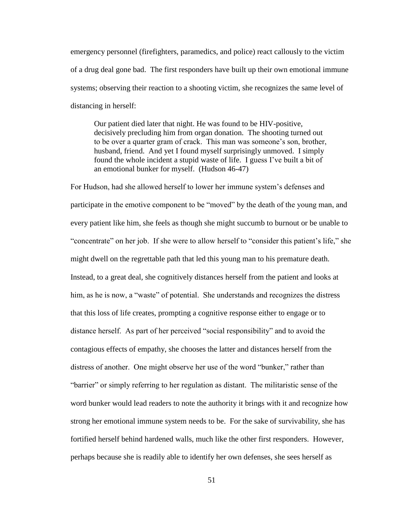emergency personnel (firefighters, paramedics, and police) react callously to the victim of a drug deal gone bad. The first responders have built up their own emotional immune systems; observing their reaction to a shooting victim, she recognizes the same level of distancing in herself:

Our patient died later that night. He was found to be HIV-positive, decisively precluding him from organ donation. The shooting turned out to be over a quarter gram of crack. This man was someone's son, brother, husband, friend. And yet I found myself surprisingly unmoved. I simply found the whole incident a stupid waste of life. I guess I've built a bit of an emotional bunker for myself. (Hudson 46-47)

For Hudson, had she allowed herself to lower her immune system's defenses and participate in the emotive component to be "moved" by the death of the young man, and every patient like him, she feels as though she might succumb to burnout or be unable to "concentrate" on her job. If she were to allow herself to "consider this patient's life," she might dwell on the regrettable path that led this young man to his premature death. Instead, to a great deal, she cognitively distances herself from the patient and looks at him, as he is now, a "waste" of potential. She understands and recognizes the distress that this loss of life creates, prompting a cognitive response either to engage or to distance herself. As part of her perceived "social responsibility" and to avoid the contagious effects of empathy, she chooses the latter and distances herself from the distress of another. One might observe her use of the word "bunker," rather than "barrier" or simply referring to her regulation as distant. The militaristic sense of the word bunker would lead readers to note the authority it brings with it and recognize how strong her emotional immune system needs to be. For the sake of survivability, she has fortified herself behind hardened walls, much like the other first responders. However, perhaps because she is readily able to identify her own defenses, she sees herself as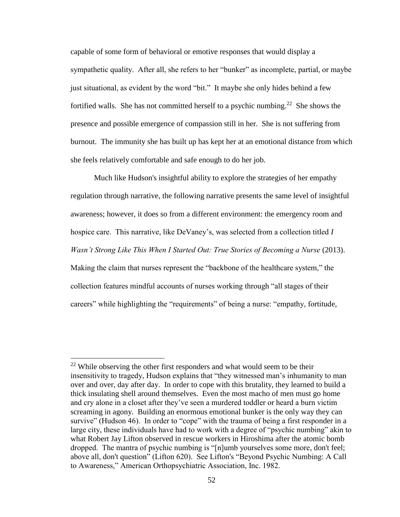capable of some form of behavioral or emotive responses that would display a sympathetic quality. After all, she refers to her "bunker" as incomplete, partial, or maybe just situational, as evident by the word "bit." It maybe she only hides behind a few fortified walls. She has not committed herself to a psychic numbing.<sup>22</sup> She shows the presence and possible emergence of compassion still in her. She is not suffering from burnout. The immunity she has built up has kept her at an emotional distance from which she feels relatively comfortable and safe enough to do her job.

Much like Hudson's insightful ability to explore the strategies of her empathy regulation through narrative, the following narrative presents the same level of insightful awareness; however, it does so from a different environment: the emergency room and hospice care. This narrative, like DeVaney's, was selected from a collection titled *I Wasn't Strong Like This When I Started Out: True Stories of Becoming a Nurse (2013).* Making the claim that nurses represent the "backbone of the healthcare system," the collection features mindful accounts of nurses working through "all stages of their

careers" while highlighting the "requirements" of being a nurse: "empathy, fortitude,

 $22$  While observing the other first responders and what would seem to be their insensitivity to tragedy, Hudson explains that "they witnessed man's inhumanity to man over and over, day after day. In order to cope with this brutality, they learned to build a thick insulating shell around themselves. Even the most macho of men must go home and cry alone in a closet after they've seen a murdered toddler or heard a burn victim screaming in agony. Building an enormous emotional bunker is the only way they can survive" (Hudson 46). In order to "cope" with the trauma of being a first responder in a large city, these individuals have had to work with a degree of "psychic numbing" akin to what Robert Jay Lifton observed in rescue workers in Hiroshima after the atomic bomb dropped. The mantra of psychic numbing is "[n]umb yourselves some more, don't feel; above all, don't question" (Lifton 620). See Lifton's "Beyond Psychic Numbing: A Call to Awareness," American Orthopsychiatric Association, Inc. 1982.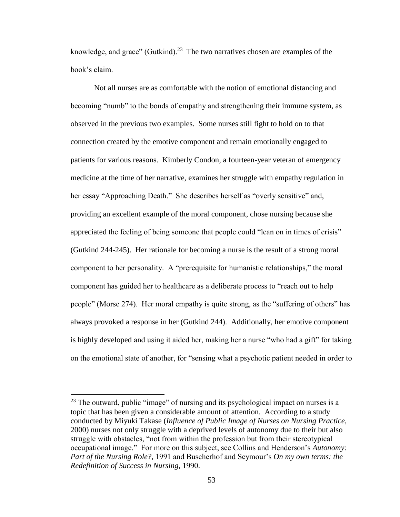knowledge, and grace" (Gutkind).<sup>23</sup> The two narratives chosen are examples of the book's claim.

Not all nurses are as comfortable with the notion of emotional distancing and becoming "numb" to the bonds of empathy and strengthening their immune system, as observed in the previous two examples. Some nurses still fight to hold on to that connection created by the emotive component and remain emotionally engaged to patients for various reasons. Kimberly Condon, a fourteen-year veteran of emergency medicine at the time of her narrative, examines her struggle with empathy regulation in her essay "Approaching Death." She describes herself as "overly sensitive" and, providing an excellent example of the moral component, chose nursing because she appreciated the feeling of being someone that people could "lean on in times of crisis" (Gutkind 244-245). Her rationale for becoming a nurse is the result of a strong moral component to her personality. A "prerequisite for humanistic relationships," the moral component has guided her to healthcare as a deliberate process to "reach out to help people" (Morse 274). Her moral empathy is quite strong, as the "suffering of others" has always provoked a response in her (Gutkind 244). Additionally, her emotive component is highly developed and using it aided her, making her a nurse "who had a gift" for taking on the emotional state of another, for "sensing what a psychotic patient needed in order to

 $^{23}$  The outward, public "image" of nursing and its psychological impact on nurses is a topic that has been given a considerable amount of attention. According to a study conducted by Miyuki Takase (*Influence of Public Image of Nurses on Nursing Practice,*  2000) nurses not only struggle with a deprived levels of autonomy due to their but also struggle with obstacles, "not from within the profession but from their stereotypical occupational image." For more on this subject, see Collins and Henderson's *Autonomy: Part of the Nursing Role?,* 1991 and Buscherhof and Seymour's *On my own terms: the Redefinition of Success in Nursing,* 1990.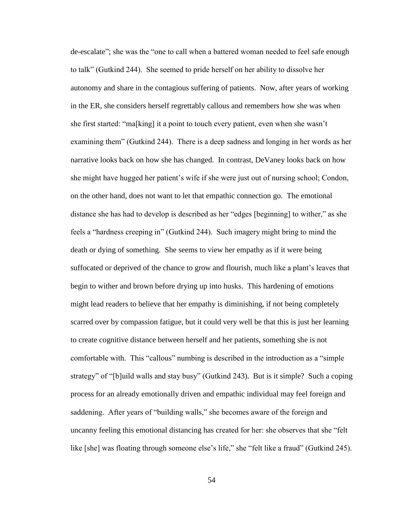de-escalate"; she was the "one to call when a battered woman needed to feel safe enough to talk" (Gutkind 244). She seemed to pride herself on her ability to dissolve her autonomy and share in the contagious suffering of patients. Now, after years of working in the ER, she considers herself regrettably callous and remembers how she was when she first started: "ma[king] it a point to touch every patient, even when she wasn't examining them" (Gutkind 244). There is a deep sadness and longing in her words as her narrative looks back on how she has changed. In contrast, DeVaney looks back on how she might have hugged her patient's wife if she were just out of nursing school; Condon, on the other hand, does not want to let that empathic connection go. The emotional distance she has had to develop is described as her "edges [beginning] to wither," as she feels a "hardness creeping in" (Gutkind 244). Such imagery might bring to mind the death or dying of something. She seems to view her empathy as if it were being suffocated or deprived of the chance to grow and flourish, much like a plant's leaves that begin to wither and brown before drying up into husks. This hardening of emotions might lead readers to believe that her empathy is diminishing, if not being completely scarred over by compassion fatigue, but it could very well be that this is just her learning to create cognitive distance between herself and her patients, something she is not comfortable with. This "callous" numbing is described in the introduction as a "simple strategy" of "[b]uild walls and stay busy" (Gutkind 243). But is it simple? Such a coping process for an already emotionally driven and empathic individual may feel foreign and saddening. After years of "building walls," she becomes aware of the foreign and uncanny feeling this emotional distancing has created for her: she observes that she "felt like [she] was floating through someone else's life," she "felt like a fraud" (Gutkind 245).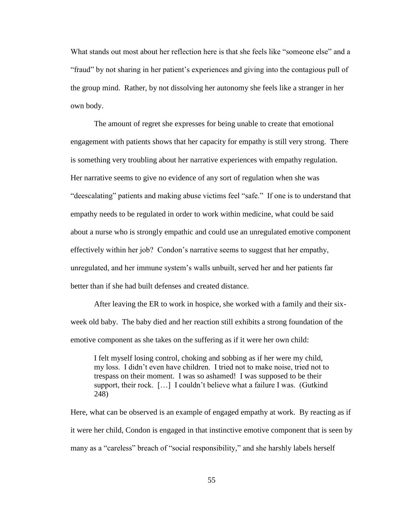What stands out most about her reflection here is that she feels like "someone else" and a "fraud" by not sharing in her patient's experiences and giving into the contagious pull of the group mind. Rather, by not dissolving her autonomy she feels like a stranger in her own body.

The amount of regret she expresses for being unable to create that emotional engagement with patients shows that her capacity for empathy is still very strong. There is something very troubling about her narrative experiences with empathy regulation. Her narrative seems to give no evidence of any sort of regulation when she was "deescalating" patients and making abuse victims feel "safe." If one is to understand that empathy needs to be regulated in order to work within medicine, what could be said about a nurse who is strongly empathic and could use an unregulated emotive component effectively within her job? Condon's narrative seems to suggest that her empathy, unregulated, and her immune system's walls unbuilt, served her and her patients far better than if she had built defenses and created distance.

After leaving the ER to work in hospice, she worked with a family and their sixweek old baby. The baby died and her reaction still exhibits a strong foundation of the emotive component as she takes on the suffering as if it were her own child:

I felt myself losing control, choking and sobbing as if her were my child, my loss. I didn't even have children. I tried not to make noise, tried not to trespass on their moment. I was so ashamed! I was supposed to be their support, their rock. […] I couldn't believe what a failure I was. (Gutkind 248)

Here, what can be observed is an example of engaged empathy at work. By reacting as if it were her child, Condon is engaged in that instinctive emotive component that is seen by many as a "careless" breach of "social responsibility," and she harshly labels herself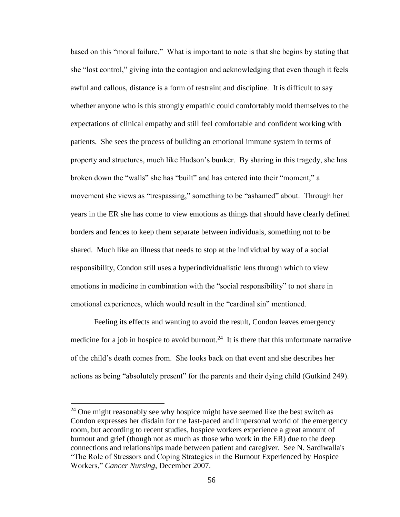based on this "moral failure." What is important to note is that she begins by stating that she "lost control," giving into the contagion and acknowledging that even though it feels awful and callous, distance is a form of restraint and discipline. It is difficult to say whether anyone who is this strongly empathic could comfortably mold themselves to the expectations of clinical empathy and still feel comfortable and confident working with patients. She sees the process of building an emotional immune system in terms of property and structures, much like Hudson's bunker. By sharing in this tragedy, she has broken down the "walls" she has "built" and has entered into their "moment," a movement she views as "trespassing," something to be "ashamed" about. Through her years in the ER she has come to view emotions as things that should have clearly defined borders and fences to keep them separate between individuals, something not to be shared. Much like an illness that needs to stop at the individual by way of a social responsibility, Condon still uses a hyperindividualistic lens through which to view emotions in medicine in combination with the "social responsibility" to not share in emotional experiences, which would result in the "cardinal sin" mentioned.

Feeling its effects and wanting to avoid the result, Condon leaves emergency medicine for a job in hospice to avoid burnout.<sup>24</sup> It is there that this unfortunate narrative of the child's death comes from. She looks back on that event and she describes her actions as being "absolutely present" for the parents and their dying child (Gutkind 249).

<sup>&</sup>lt;sup>24</sup> One might reasonably see why hospice might have seemed like the best switch as Condon expresses her disdain for the fast-paced and impersonal world of the emergency room, but according to recent studies, hospice workers experience a great amount of burnout and grief (though not as much as those who work in the ER) due to the deep connections and relationships made between patient and caregiver. See N. Sardiwalla's "The Role of Stressors and Coping Strategies in the Burnout Experienced by Hospice Workers," *Cancer Nursing*, December 2007.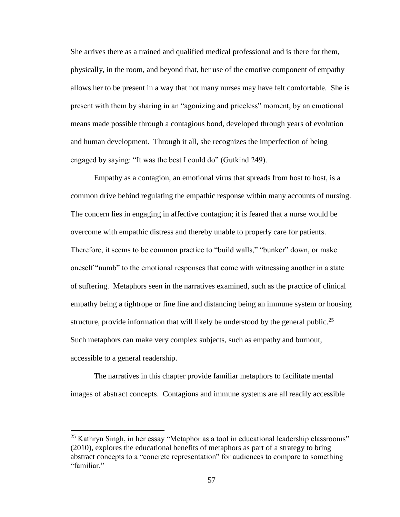She arrives there as a trained and qualified medical professional and is there for them, physically, in the room, and beyond that, her use of the emotive component of empathy allows her to be present in a way that not many nurses may have felt comfortable. She is present with them by sharing in an "agonizing and priceless" moment, by an emotional means made possible through a contagious bond, developed through years of evolution and human development. Through it all, she recognizes the imperfection of being engaged by saying: "It was the best I could do" (Gutkind 249).

Empathy as a contagion, an emotional virus that spreads from host to host, is a common drive behind regulating the empathic response within many accounts of nursing. The concern lies in engaging in affective contagion; it is feared that a nurse would be overcome with empathic distress and thereby unable to properly care for patients. Therefore, it seems to be common practice to "build walls," "bunker" down, or make oneself "numb" to the emotional responses that come with witnessing another in a state of suffering. Metaphors seen in the narratives examined, such as the practice of clinical empathy being a tightrope or fine line and distancing being an immune system or housing structure, provide information that will likely be understood by the general public.<sup>25</sup> Such metaphors can make very complex subjects, such as empathy and burnout, accessible to a general readership.

The narratives in this chapter provide familiar metaphors to facilitate mental images of abstract concepts. Contagions and immune systems are all readily accessible

 $25$  Kathryn Singh, in her essay "Metaphor as a tool in educational leadership classrooms" (2010), explores the educational benefits of metaphors as part of a strategy to bring abstract concepts to a "concrete representation" for audiences to compare to something "familiar."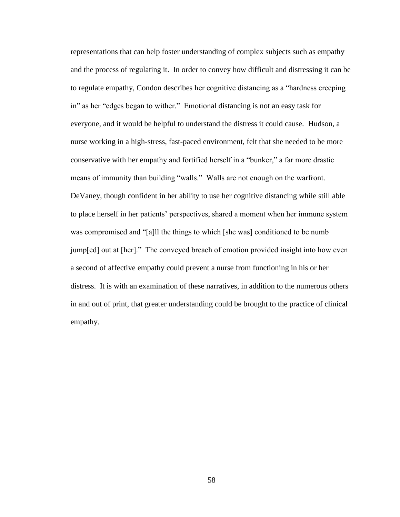representations that can help foster understanding of complex subjects such as empathy and the process of regulating it. In order to convey how difficult and distressing it can be to regulate empathy, Condon describes her cognitive distancing as a "hardness creeping in" as her "edges began to wither." Emotional distancing is not an easy task for everyone, and it would be helpful to understand the distress it could cause. Hudson, a nurse working in a high-stress, fast-paced environment, felt that she needed to be more conservative with her empathy and fortified herself in a "bunker," a far more drastic means of immunity than building "walls." Walls are not enough on the warfront. DeVaney, though confident in her ability to use her cognitive distancing while still able to place herself in her patients' perspectives, shared a moment when her immune system was compromised and "[a]ll the things to which [she was] conditioned to be numb jump[ed] out at [her]." The conveyed breach of emotion provided insight into how even a second of affective empathy could prevent a nurse from functioning in his or her distress. It is with an examination of these narratives, in addition to the numerous others in and out of print, that greater understanding could be brought to the practice of clinical empathy.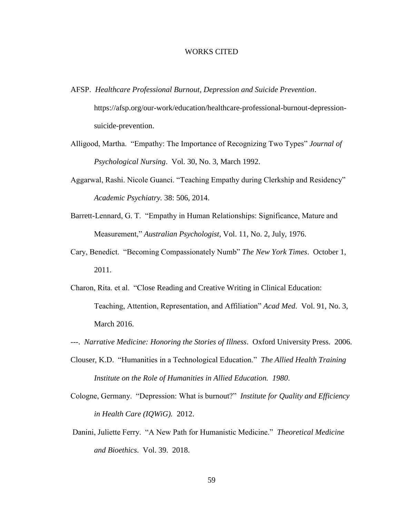### WORKS CITED

- <span id="page-64-0"></span>AFSP. *Healthcare Professional Burnout, Depression and Suicide Prevention*. https://afsp.org/our-work/education/healthcare-professional-burnout-depressionsuicide-prevention.
- Alligood, Martha. "Empathy: The Importance of Recognizing Two Types" *Journal of Psychological Nursing*. Vol. 30, No. 3, March 1992.
- Aggarwal, Rashi. Nicole Guanci. "Teaching Empathy during Clerkship and Residency" *Academic Psychiatry.* 38: 506, 2014.
- Barrett-Lennard, G. T. "Empathy in Human Relationships: Significance, Mature and Measurement," *Australian Psychologist*, Vol. 11, No. 2, July, 1976.
- Cary, Benedict. "Becoming Compassionately Numb" *The New York Times*. October 1, 2011.
- Charon, Rita. et al. "Close Reading and Creative Writing in Clinical Education: Teaching, Attention, Representation, and Affiliation" *Acad Med*. Vol. 91, No. 3, March 2016.
- ---. *Narrative Medicine: Honoring the Stories of Illness*. Oxford University Press. 2006.
- Clouser, K.D. "Humanities in a Technological Education." *The Allied Health Training Institute on the Role of Humanities in Allied Education. 1980*.
- Cologne, Germany. "Depression: What is burnout?" *Institute for Quality and Efficiency in Health Care (IQWiG).* 2012.
- Danini, Juliette Ferry. "A New Path for Humanistic Medicine." *Theoretical Medicine and Bioethics*. Vol. 39. 2018.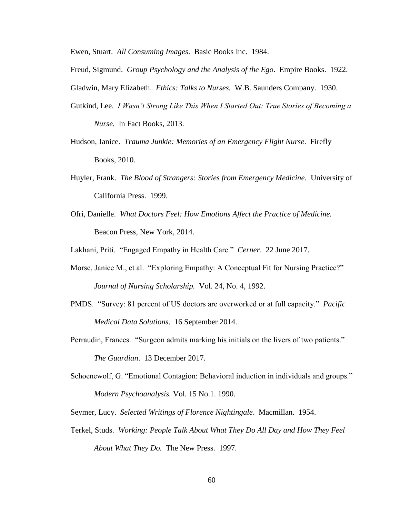Ewen, Stuart. *All Consuming Images*. Basic Books Inc. 1984.

- Freud, Sigmund. *Group Psychology and the Analysis of the Ego*. Empire Books. 1922.
- Gladwin, Mary Elizabeth. *Ethics: Talks to Nurses.* W.B. Saunders Company. 1930.
- Gutkind, Lee. *I Wasn't Strong Like This When I Started Out: True Stories of Becoming a Nurse.* In Fact Books, 2013.
- Hudson, Janice. *Trauma Junkie: Memories of an Emergency Flight Nurse*. Firefly Books, 2010.
- Huyler, Frank. *The Blood of Strangers: Stories from Emergency Medicine.* University of California Press. 1999.
- Ofri, Danielle. *What Doctors Feel: How Emotions Affect the Practice of Medicine.* Beacon Press, New York, 2014.

Lakhani, Priti. "Engaged Empathy in Health Care." *Cerner*. 22 June 2017.

- Morse, Janice M., et al. "Exploring Empathy: A Conceptual Fit for Nursing Practice?" *Journal of Nursing Scholarship.* Vol. 24, No. 4, 1992.
- PMDS. "Survey: 81 percent of US doctors are overworked or at full capacity." *Pacific Medical Data Solutions*. 16 September 2014.
- Perraudin, Frances. "Surgeon admits marking his initials on the livers of two patients." *The Guardian*. 13 December 2017.
- Schoenewolf, G. "Emotional Contagion: Behavioral induction in individuals and groups." *Modern Psychoanalysis.* Vol*.* 15 No.1. 1990.

Seymer, Lucy. *Selected Writings of Florence Nightingale*. Macmillan. 1954.

Terkel, Studs. *Working: People Talk About What They Do All Day and How They Feel About What They Do.* The New Press. 1997.